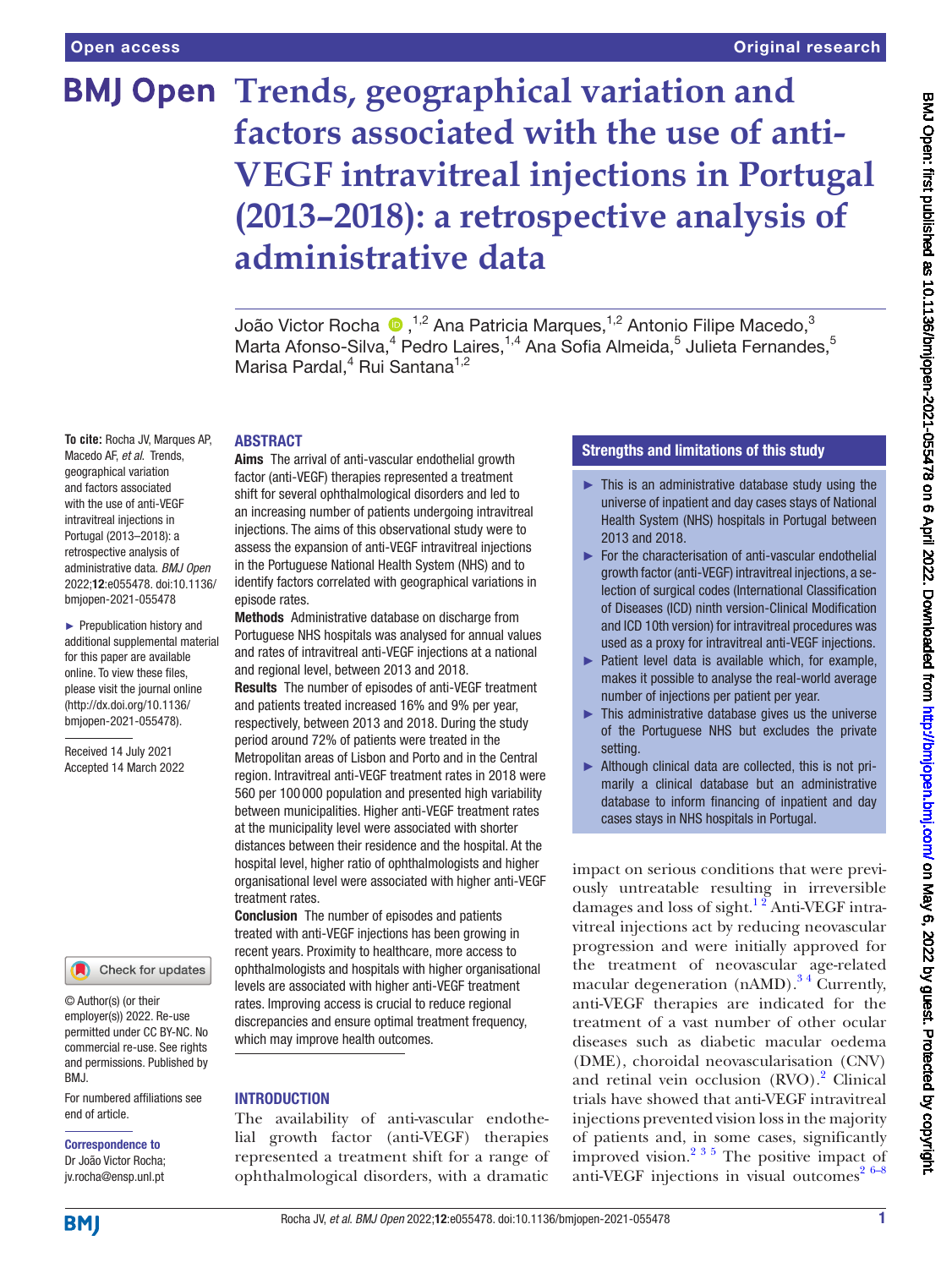# **BMJ Open Trends, geographical variation and factors associated with the use of anti-VEGF intravitreal injections in Portugal (2013–2018): a retrospective analysis of administrative data**

João Victor Rocha  $\bigcirc$  ,<sup>1,2</sup> Ana Patricia Marques,<sup>1,2</sup> Antonio Filipe Macedo,<sup>3</sup> Marta Afonso-Silva,<sup>4</sup> Pedro Laires, <sup>1,4</sup> Ana Sofia Almeida,<sup>5</sup> Julieta Fernandes, 5 Marisa Pardal,<sup>4</sup> Rui Santana<sup>1,2</sup>

#### ABSTRACT

**To cite:** Rocha JV, Marques AP, Macedo AF, *et al*. Trends, geographical variation and factors associated with the use of anti-VEGF intravitreal injections in Portugal (2013–2018): a retrospective analysis of administrative data. *BMJ Open* 2022;12:e055478. doi:10.1136/ bmjopen-2021-055478

► Prepublication history and additional supplemental material for this paper are available online. To view these files, please visit the journal online [\(http://dx.doi.org/10.1136/](http://dx.doi.org/10.1136/bmjopen-2021-055478) [bmjopen-2021-055478](http://dx.doi.org/10.1136/bmjopen-2021-055478)).

Received 14 July 2021 Accepted 14 March 2022



© Author(s) (or their employer(s)) 2022. Re-use permitted under CC BY-NC. No commercial re-use. See rights and permissions. Published by BMJ.

For numbered affiliations see end of article.

Correspondence to Dr João Victor Rocha; jv.rocha@ensp.unl.pt

Aims The arrival of anti-vascular endothelial growth factor (anti-VEGF) therapies represented a treatment shift for several ophthalmological disorders and led to an increasing number of patients undergoing intravitreal injections. The aims of this observational study were to assess the expansion of anti-VEGF intravitreal injections in the Portuguese National Health System (NHS) and to identify factors correlated with geographical variations in episode rates.

Methods Administrative database on discharge from Portuguese NHS hospitals was analysed for annual values and rates of intravitreal anti-VEGF injections at a national and regional level, between 2013 and 2018. Results The number of episodes of anti-VEGF treatment and patients treated increased 16% and 9% per year, respectively, between 2013 and 2018. During the study period around 72% of patients were treated in the Metropolitan areas of Lisbon and Porto and in the Central region. Intravitreal anti-VEGF treatment rates in 2018 were 560 per 100 000 population and presented high variability between municipalities. Higher anti-VEGF treatment rates at the municipality level were associated with shorter distances between their residence and the hospital. At the hospital level, higher ratio of ophthalmologists and higher organisational level were associated with higher anti-VEGF treatment rates.

Conclusion The number of episodes and patients treated with anti-VEGF injections has been growing in recent years. Proximity to healthcare, more access to ophthalmologists and hospitals with higher organisational levels are associated with higher anti-VEGF treatment rates. Improving access is crucial to reduce regional discrepancies and ensure optimal treatment frequency, which may improve health outcomes.

#### INTRODUCTION

The availability of anti-vascular endothelial growth factor (anti-VEGF) therapies represented a treatment shift for a range of ophthalmological disorders, with a dramatic

#### Strengths and limitations of this study

- $\blacktriangleright$  This is an administrative database study using the universe of inpatient and day cases stays of National Health System (NHS) hospitals in Portugal between 2013 and 2018.
- ► For the characterisation of anti-vascular endothelial growth factor (anti-VEGF) intravitreal injections, a selection of surgical codes (International Classification of Diseases (ICD) ninth version-Clinical Modification and ICD 10th version) for intravitreal procedures was used as a proxy for intravitreal anti-VEGF injections.
- ► Patient level data is available which, for example, makes it possible to analyse the real-world average number of injections per patient per year.
- $\blacktriangleright$  This administrative database gives us the universe of the Portuguese NHS but excludes the private setting.
- ► Although clinical data are collected, this is not primarily a clinical database but an administrative database to inform financing of inpatient and day cases stays in NHS hospitals in Portugal.

impact on serious conditions that were previously untreatable resulting in irreversible damages and loss of sight. $12$  Anti-VEGF intravitreal injections act by reducing neovascular progression and were initially approved for the treatment of neovascular age-related macular degeneration  $(nAMD)$ .<sup>34</sup> Currently, anti-VEGF therapies are indicated for the treatment of a vast number of other ocular diseases such as diabetic macular oedema (DME), choroidal neovascularisation (CNV) and retinal vein occlusion (RVO).<sup>2</sup> Clinical trials have showed that anti-VEGF intravitreal injections prevented vision loss in the majority of patients and, in some cases, significantly improved vision.<sup>2 3 5</sup> The positive impact of anti-VEGF injections in visual outcomes<sup>26-8</sup>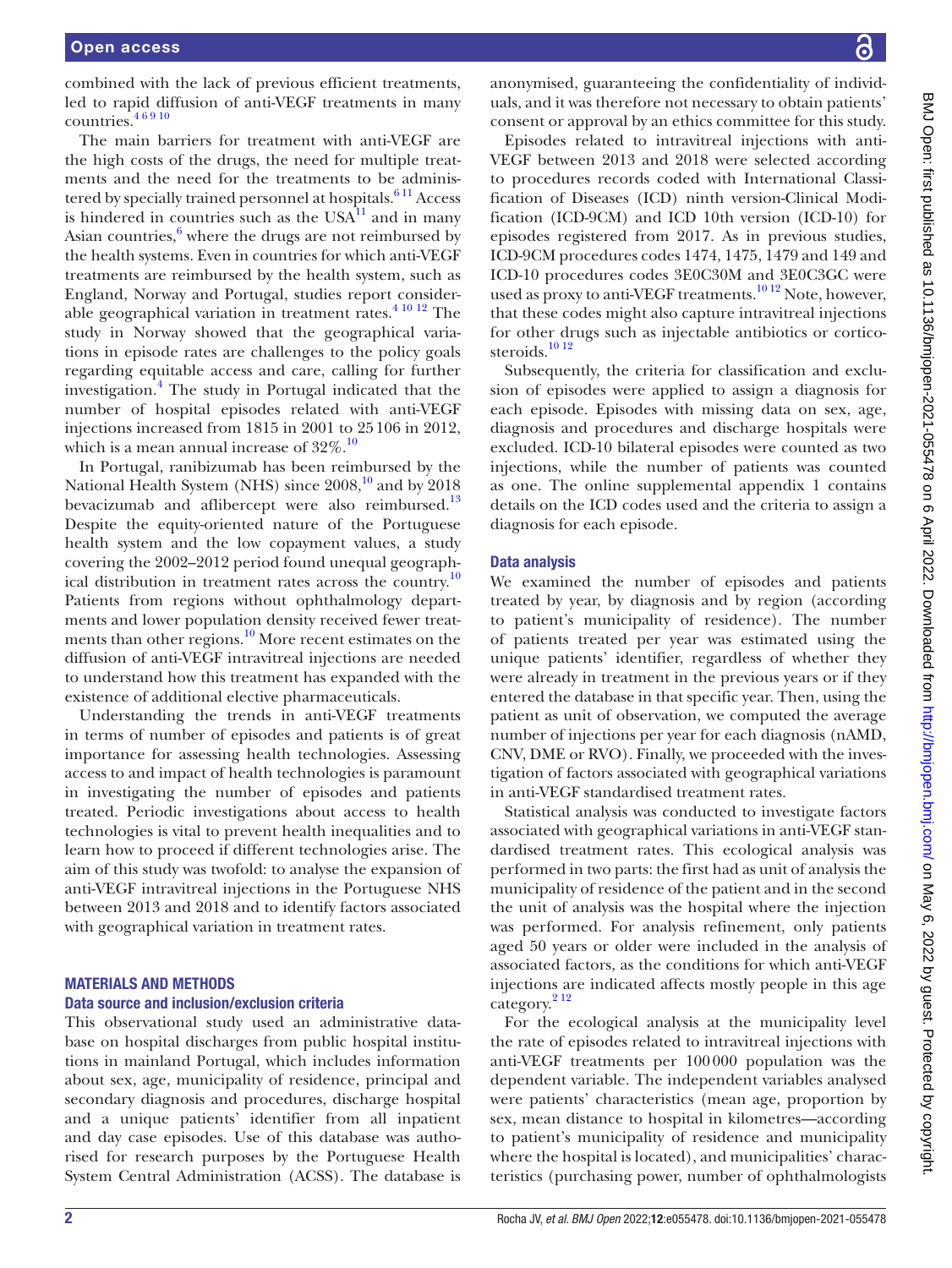combined with the lack of previous efficient treatments, led to rapid diffusion of anti-VEGF treatments in many countries.[4 6 9 10](#page-6-3)

The main barriers for treatment with anti-VEGF are the high costs of the drugs, the need for multiple treatments and the need for the treatments to be administered by specially trained personnel at hospitals.<sup>611</sup> Access is hindered in countries such as the  $USA^{11}$  and in many Asian countries, $6$  where the drugs are not reimbursed by the health systems. Even in countries for which anti-VEGF treatments are reimbursed by the health system, such as England, Norway and Portugal, studies report considerable geographical variation in treatment rates. $4^{10}$  12 The study in Norway showed that the geographical variations in episode rates are challenges to the policy goals regarding equitable access and care, calling for further investigation.[4](#page-6-3) The study in Portugal indicated that the number of hospital episodes related with anti-VEGF injections increased from 1815 in 2001 to 25106 in 2012, which is a mean annual increase of  $32\%$ .<sup>[10](#page-6-6)</sup>

In Portugal, ranibizumab has been reimbursed by the National Health System (NHS) since  $2008<sup>10</sup>$  and by 2018 bevacizumab and aflibercept were also reimbursed.<sup>13</sup> Despite the equity-oriented nature of the Portuguese health system and the low copayment values, a study covering the 2002–2012 period found unequal geographical distribution in treatment rates across the country.[10](#page-6-6) Patients from regions without ophthalmology departments and lower population density received fewer treatments than other regions. $10<sup>10</sup>$  More recent estimates on the diffusion of anti-VEGF intravitreal injections are needed to understand how this treatment has expanded with the existence of additional elective pharmaceuticals.

Understanding the trends in anti-VEGF treatments in terms of number of episodes and patients is of great importance for assessing health technologies. Assessing access to and impact of health technologies is paramount in investigating the number of episodes and patients treated. Periodic investigations about access to health technologies is vital to prevent health inequalities and to learn how to proceed if different technologies arise. The aim of this study was twofold: to analyse the expansion of anti-VEGF intravitreal injections in the Portuguese NHS between 2013 and 2018 and to identify factors associated with geographical variation in treatment rates.

#### MATERIALS AND METHODS

#### Data source and inclusion/exclusion criteria

This observational study used an administrative database on hospital discharges from public hospital institutions in mainland Portugal, which includes information about sex, age, municipality of residence, principal and secondary diagnosis and procedures, discharge hospital and a unique patients' identifier from all inpatient and day case episodes. Use of this database was authorised for research purposes by the Portuguese Health System Central Administration (ACSS). The database is

anonymised, guaranteeing the confidentiality of individuals, and it was therefore not necessary to obtain patients' consent or approval by an ethics committee for this study.

Episodes related to intravitreal injections with anti-VEGF between 2013 and 2018 were selected according to procedures records coded with International Classification of Diseases (ICD) ninth version-Clinical Modification (ICD-9CM) and ICD 10th version (ICD-10) for episodes registered from 2017. As in previous studies, ICD-9CM procedures codes 1474, 1475, 1479 and 149 and ICD-10 procedures codes 3E0C30M and 3E0C3GC were used as proxy to anti-VEGF treatments.<sup>10 12</sup> Note, however, that these codes might also capture intravitreal injections for other drugs such as injectable antibiotics or cortico-steroids.<sup>[10 12](#page-6-6)</sup>

Subsequently, the criteria for classification and exclusion of episodes were applied to assign a diagnosis for each episode. Episodes with missing data on sex, age, diagnosis and procedures and discharge hospitals were excluded. ICD-10 bilateral episodes were counted as two injections, while the number of patients was counted as one. The [online supplemental appendix 1](https://dx.doi.org/10.1136/bmjopen-2021-055478) contains details on the ICD codes used and the criteria to assign a diagnosis for each episode.

#### Data analysis

We examined the number of episodes and patients treated by year, by diagnosis and by region (according to patient's municipality of residence). The number of patients treated per year was estimated using the unique patients' identifier, regardless of whether they were already in treatment in the previous years or if they entered the database in that specific year. Then, using the patient as unit of observation, we computed the average number of injections per year for each diagnosis (nAMD, CNV, DME or RVO). Finally, we proceeded with the investigation of factors associated with geographical variations in anti-VEGF standardised treatment rates.

Statistical analysis was conducted to investigate factors associated with geographical variations in anti-VEGF standardised treatment rates. This ecological analysis was performed in two parts: the first had as unit of analysis the municipality of residence of the patient and in the second the unit of analysis was the hospital where the injection was performed. For analysis refinement, only patients aged 50 years or older were included in the analysis of associated factors, as the conditions for which anti-VEGF injections are indicated affects mostly people in this age category.[2 12](#page-6-2)

For the ecological analysis at the municipality level the rate of episodes related to intravitreal injections with anti-VEGF treatments per 100000 population was the dependent variable. The independent variables analysed were patients' characteristics (mean age, proportion by sex, mean distance to hospital in kilometres—according to patient's municipality of residence and municipality where the hospital is located), and municipalities' characteristics (purchasing power, number of ophthalmologists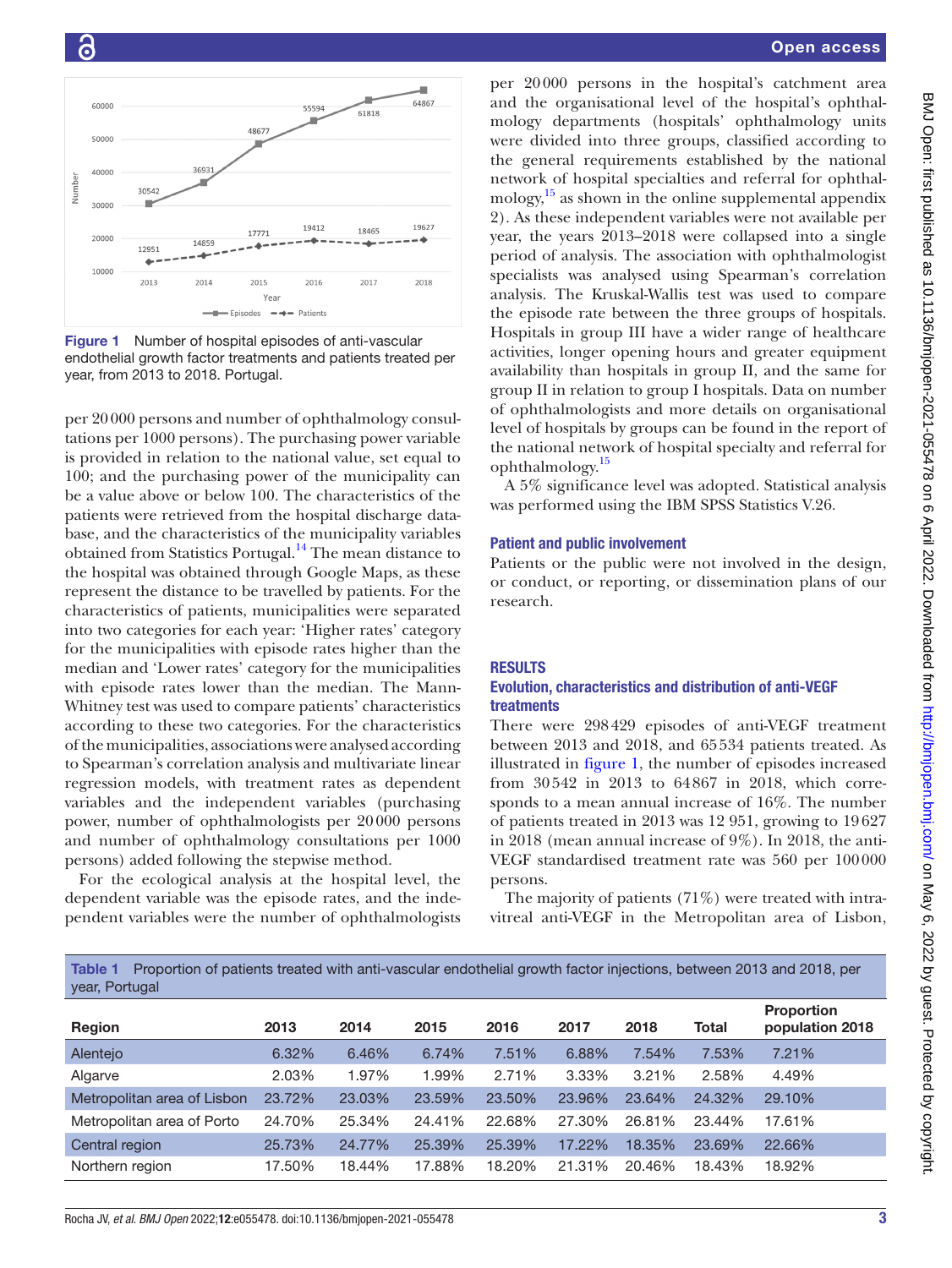

<span id="page-2-0"></span>Figure 1 Number of hospital episodes of anti-vascular endothelial growth factor treatments and patients treated per year, from 2013 to 2018. Portugal.

per 20000 persons and number of ophthalmology consultations per 1000 persons). The purchasing power variable is provided in relation to the national value, set equal to 100; and the purchasing power of the municipality can be a value above or below 100. The characteristics of the patients were retrieved from the hospital discharge database, and the characteristics of the municipality variables obtained from Statistics Portugal.[14](#page-6-8) The mean distance to the hospital was obtained through Google Maps, as these represent the distance to be travelled by patients. For the characteristics of patients, municipalities were separated into two categories for each year: 'Higher rates' category for the municipalities with episode rates higher than the median and 'Lower rates' category for the municipalities with episode rates lower than the median. The Mann-Whitney test was used to compare patients' characteristics according to these two categories. For the characteristics of the municipalities, associations were analysed according to Spearman's correlation analysis and multivariate linear regression models, with treatment rates as dependent variables and the independent variables (purchasing power, number of ophthalmologists per 20000 persons and number of ophthalmology consultations per 1000 persons) added following the stepwise method.

For the ecological analysis at the hospital level, the dependent variable was the episode rates, and the independent variables were the number of ophthalmologists

per 20000 persons in the hospital's catchment area and the organisational level of the hospital's ophthalmology departments (hospitals' ophthalmology units were divided into three groups, classified according to the general requirements established by the national network of hospital specialties and referral for ophthalmology,<sup>15</sup> as shown in the online supplemental appendix [2](https://dx.doi.org/10.1136/bmjopen-2021-055478)). As these independent variables were not available per year, the years 2013–2018 were collapsed into a single period of analysis. The association with ophthalmologist specialists was analysed using Spearman's correlation analysis. The Kruskal-Wallis test was used to compare the episode rate between the three groups of hospitals. Hospitals in group III have a wider range of healthcare activities, longer opening hours and greater equipment availability than hospitals in group II, and the same for group II in relation to group I hospitals. Data on number of ophthalmologists and more details on organisational level of hospitals by groups can be found in the report of the national network of hospital specialty and referral for ophthalmology[.15](#page-6-9)

A 5% significance level was adopted. Statistical analysis was performed using the IBM SPSS Statistics V.26.

#### Patient and public involvement

Patients or the public were not involved in the design, or conduct, or reporting, or dissemination plans of our research.

#### RESULTS

#### Evolution, characteristics and distribution of anti-VEGF treatments

There were 298429 episodes of anti-VEGF treatment between 2013 and 2018, and 65534 patients treated. As illustrated in [figure](#page-2-0) 1, the number of episodes increased from 30542 in 2013 to 64867 in 2018, which corresponds to a mean annual increase of 16%. The number of patients treated in 2013 was 12 951, growing to 19627 in 2018 (mean annual increase of 9%). In 2018, the anti-VEGF standardised treatment rate was 560 per 100000 persons.

The majority of patients (71%) were treated with intravitreal anti-VEGF in the Metropolitan area of Lisbon,

<span id="page-2-1"></span>Table 1 Proportion of patients treated with anti-vascular endothelial growth factor injections, between 2013 and 2018, per year, Portugal

| <b>Region</b>               | 2013   | 2014   | 2015   | 2016   | 2017   | 2018   | Total  | <b>Proportion</b><br>population 2018 |
|-----------------------------|--------|--------|--------|--------|--------|--------|--------|--------------------------------------|
| Alentejo                    | 6.32%  | 6.46%  | 6.74%  | 7.51%  | 6.88%  | 7.54%  | 7.53%  | 7.21%                                |
| Algarve                     | 2.03%  | 1.97%  | 1.99%  | 2.71%  | 3.33%  | 3.21%  | 2.58%  | 4.49%                                |
| Metropolitan area of Lisbon | 23.72% | 23.03% | 23.59% | 23.50% | 23.96% | 23.64% | 24.32% | 29.10%                               |
| Metropolitan area of Porto  | 24.70% | 25.34% | 24.41% | 22.68% | 27.30% | 26.81% | 23.44% | 17.61%                               |
| Central region              | 25.73% | 24.77% | 25.39% | 25.39% | 17.22% | 18.35% | 23.69% | 22.66%                               |
| Northern region             | 17.50% | 18.44% | 17.88% | 18.20% | 21.31% | 20.46% | 18.43% | 18.92%                               |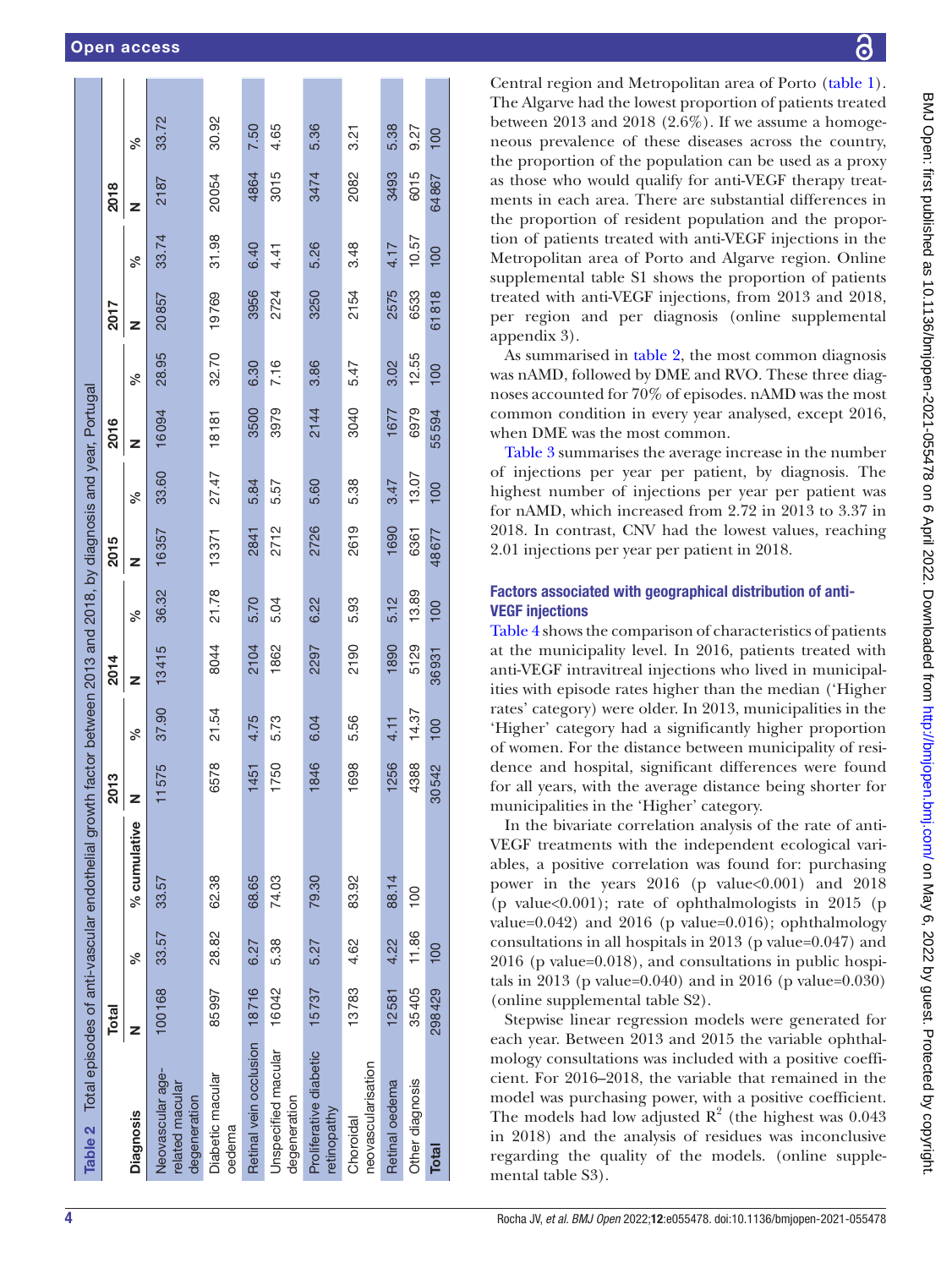| Table 2 Total episodes of anti-vascular endothelial growth |              |       |               |       |       |       |                 |       |       | n factor between 2013 and 2018, by diagnosis and year, Portugal |       |       |       |       |       |
|------------------------------------------------------------|--------------|-------|---------------|-------|-------|-------|-----------------|-------|-------|-----------------------------------------------------------------|-------|-------|-------|-------|-------|
|                                                            | <b>Total</b> |       |               | 2013  |       | 2014  |                 | 2015  |       | 2016                                                            |       | 2017  |       | 2018  |       |
| <b>Diagnosis</b>                                           | z            | వ్    | % cumulative  |       | వ్    | z     | న్              | z     | ℅     | z                                                               | వ్    | z     | ್ನೇ   | z     | వ్    |
| Neovascular age-<br>related macular<br>degeneration        | 100168       | 33.57 | 33.57         | 1575  | 37.90 | 13415 | 36.32           | 16357 | 33.60 | 16094                                                           | 28.95 | 20857 | 33.74 | 2187  | 33.72 |
| Diabetic macular<br>oedema                                 | 85997        | 28.82 | 62.38         | 6578  | 21.54 | 8044  | 21.78           | 13371 | 27.47 | 18181                                                           | 32.70 | 19769 | 31.98 | 20054 | 30.92 |
| Retinal vein occlusion 18716                               |              | 6.27  | 68.65         | 1451  | 4.75  | 2104  | 5.70            | 2841  | 5.84  | 3500                                                            | 6.30  | 3956  | 6.40  | 4864  | 7.50  |
| Unspecified macular<br>degeneration                        | 16042        | 5.38  | 74.03         | 1750  | 5.73  | 1862  | 5.04            | 2712  | 5.57  | 3979                                                            | 7.16  | 2724  | 4.41  | 3015  | 4.65  |
| Proliferative diabetic<br>retinopathy                      | 15737        | 5.27  | 79.30         | 1846  | 6.04  | 2297  | 6.22            | 2726  | 5.60  | 2144                                                            | 3.86  | 3250  | 5.26  | 3474  | 5.36  |
| neovascularisation<br>Choroidal                            | 13783        | 4.62  | 83.92         | 1698  | 5.56  | 2190  | 5.93            | 2619  | 5.38  | 3040                                                            | 5.47  | 2154  | 3.48  | 2082  | 3.21  |
| Retinal oedema                                             | 12581        | 4.22  | 88.14         | 1256  | 4.11  | 1890  | 5.12            | 1690  | 3.47  | 1677                                                            | 3.02  | 2575  | 4.17  | 3493  | 5.38  |
| Other diagnosis                                            | 35405        | 11.86 | $\frac{0}{2}$ | 4388  | 14.37 | 5129  | 13.89           | 6361  | 13.07 | 6979                                                            | 12.55 | 6533  | 10.57 | 6015  | 9.27  |
| <b>Total</b>                                               | 298429       | 100   |               | 30542 | 100   | 36931 | $\overline{00}$ | 48677 | 100   | 55594                                                           | 100   | 61818 | 100   | 64867 | 100   |

Central region and Metropolitan area of Porto [\(table](#page-2-1) 1). The Algarve had the lowest proportion of patients treated between 2013 and 2018 (2.6%). If we assume a homoge neous prevalence of these diseases across the country, the proportion of the population can be used as a proxy as those who would qualify for anti-VEGF therapy treatments in each area. There are substantial differences in the proportion of resident population and the proportion of patients treated with anti-VEGF injections in the Metropolitan area of Porto and Algarve region. [Online](https://dx.doi.org/10.1136/bmjopen-2021-055478)  [supplemental table S1](https://dx.doi.org/10.1136/bmjopen-2021-055478) shows the proportion of patients treated with anti-VEGF injections, from 2013 and 2018, per region and per diagnosis ([online supplemental](https://dx.doi.org/10.1136/bmjopen-2021-055478)  [appendix 3\)](https://dx.doi.org/10.1136/bmjopen-2021-055478).

As summarised in [table](#page-3-0) 2, the most common diagnosis was nAMD, followed by DME and RVO. These three diag noses accounted for 70% of episodes. nAMD was the most common condition in every year analysed, except 2016, when DME was the most common.

[Table](#page-4-0) 3 summarises the average increase in the number of injections per year per patient, by diagnosis. The highest number of injections per year per patient was for nAMD, which increased from 2.72 in 2013 to 3.37 in 2018. In contrast, CNV had the lowest values, reaching 2.01 injections per year per patient in 2018.

### Factors associated with geographical distribution of anti-VEGF injections

[Table](#page-5-0) 4 shows the comparison of characteristics of patients at the municipality level. In 2016, patients treated with anti-VEGF intravitreal injections who lived in municipal ities with episode rates higher than the median ('Higher rates' category) were older. In 2013, municipalities in the 'Higher' category had a significantly higher proportion of women. For the distance between municipality of resi dence and hospital, significant differences were found for all years, with the average distance being shorter for municipalities in the 'Higher' category.

In the bivariate correlation analysis of the rate of anti-VEGF treatments with the independent ecological variables, a positive correlation was found for: purchasing power in the years  $2016$  (p value  $0.001$ ) and  $2018$ (p value $<0.001$ ); rate of ophthalmologists in 2015 (p value=0.042) and 2016 (p value=0.016); ophthalmology consultations in all hospitals in 2013 (p value=0.047) and 2016 (p value=0.018), and consultations in public hospi tals in 2013 (p value=0.040) and in 2016 (p value=0.030) [\(online supplemental table S2](https://dx.doi.org/10.1136/bmjopen-2021-055478)).

<span id="page-3-0"></span>Stepwise linear regression models were generated for each year. Between 2013 and 2015 the variable ophthal mology consultations was included with a positive coeffi cient. For 2016–2018, the variable that remained in the model was purchasing power, with a positive coefficient. The models had low adjusted  $R^2$  (the highest was 0.043 in 2018) and the analysis of residues was inconclusive regarding the quality of the models. ([online supple](https://dx.doi.org/10.1136/bmjopen-2021-055478) [mental table S3](https://dx.doi.org/10.1136/bmjopen-2021-055478)).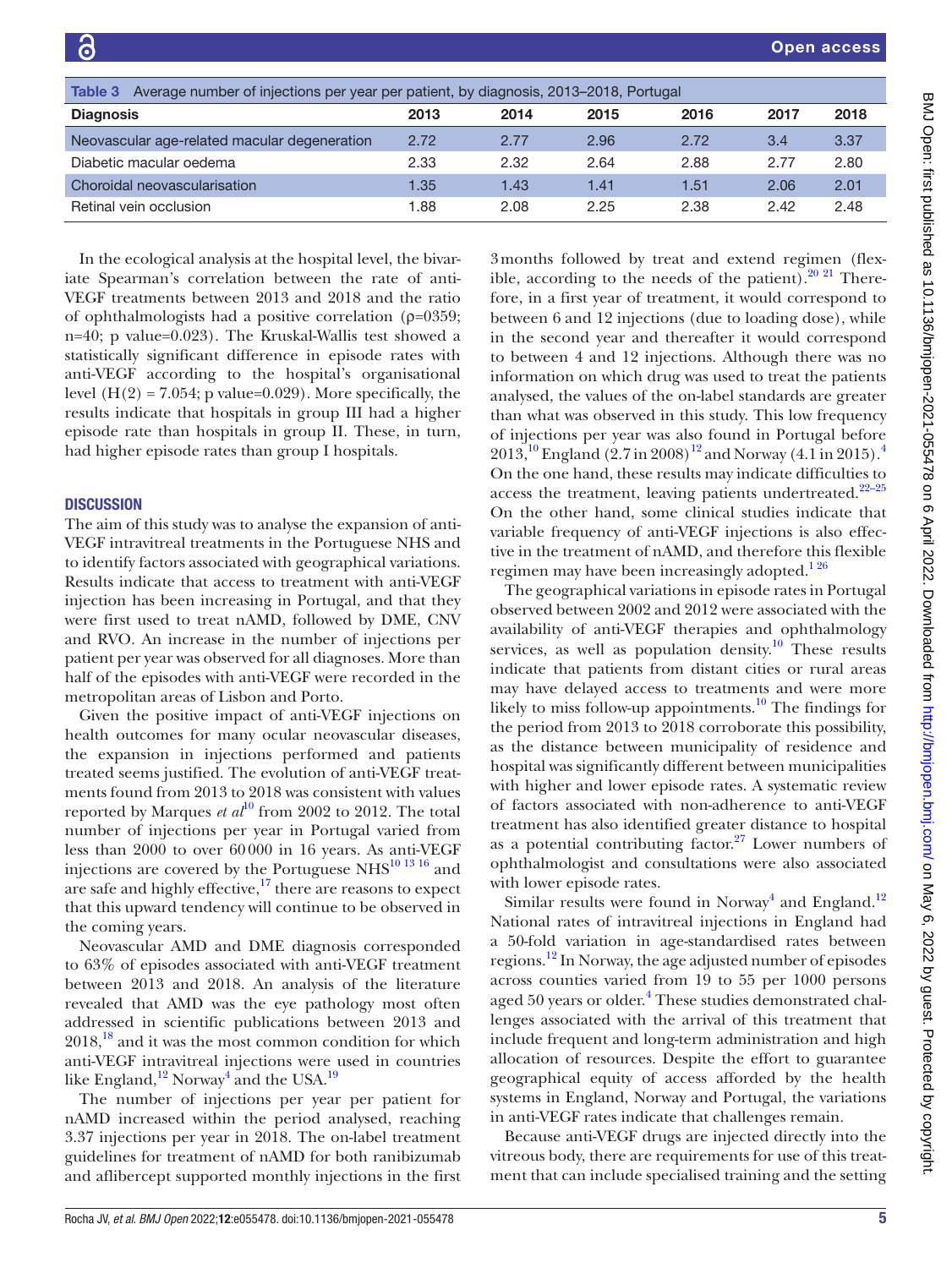<span id="page-4-0"></span>

| Average number of injections per year per patient, by diagnosis, 2013–2018, Portugal<br>Table 3 |      |      |      |      |      |      |
|-------------------------------------------------------------------------------------------------|------|------|------|------|------|------|
| <b>Diagnosis</b>                                                                                | 2013 | 2014 | 2015 | 2016 | 2017 | 2018 |
| Neovascular age-related macular degeneration                                                    | 2.72 | 2.77 | 2.96 | 2.72 | 3.4  | 3.37 |
| Diabetic macular oedema                                                                         | 2.33 | 2.32 | 2.64 | 2.88 | 2.77 | 2.80 |
| Choroidal neovascularisation                                                                    | 1.35 | 1.43 | 1.41 | 1.51 | 2.06 | 2.01 |
| Retinal vein occlusion                                                                          | 1.88 | 2.08 | 2.25 | 2.38 | 2.42 | 2.48 |

In the ecological analysis at the hospital level, the bivariate Spearman's correlation between the rate of anti-VEGF treatments between 2013 and 2018 and the ratio of ophthalmologists had a positive correlation (ρ=0359; n=40; p value=0.023). The Kruskal-Wallis test showed a statistically significant difference in episode rates with anti-VEGF according to the hospital's organisational level  $(H(2) = 7.054; p$  value=0.029). More specifically, the results indicate that hospitals in group III had a higher episode rate than hospitals in group II. These, in turn, had higher episode rates than group I hospitals.

#### **DISCUSSION**

The aim of this study was to analyse the expansion of anti-VEGF intravitreal treatments in the Portuguese NHS and to identify factors associated with geographical variations. Results indicate that access to treatment with anti-VEGF injection has been increasing in Portugal, and that they were first used to treat nAMD, followed by DME, CNV and RVO. An increase in the number of injections per patient per year was observed for all diagnoses. More than half of the episodes with anti-VEGF were recorded in the metropolitan areas of Lisbon and Porto.

Given the positive impact of anti-VEGF injections on health outcomes for many ocular neovascular diseases, the expansion in injections performed and patients treated seems justified. The evolution of anti-VEGF treatments found from 2013 to 2018 was consistent with values reported by Marques *et al*<sup>10</sup> from 2002 to 2012. The total number of injections per year in Portugal varied from less than 2000 to over 60000 in 16 years. As anti-VEGF injections are covered by the Portuguese NHS $^{10}$  13  $^{16}$  and are safe and highly effective,<sup>17</sup> there are reasons to expect that this upward tendency will continue to be observed in the coming years.

Neovascular AMD and DME diagnosis corresponded to 63% of episodes associated with anti-VEGF treatment between 2013 and 2018. An analysis of the literature revealed that AMD was the eye pathology most often addressed in scientific publications between 2013 and  $2018<sup>18</sup>$  and it was the most common condition for which anti-VEGF intravitreal injections were used in countries like England,<sup>12</sup> Norway<sup>[4](#page-6-3)</sup> and the USA.<sup>[19](#page-7-1)</sup>

The number of injections per year per patient for nAMD increased within the period analysed, reaching 3.37 injections per year in 2018. The on-label treatment guidelines for treatment of nAMD for both ranibizumab and aflibercept supported monthly injections in the first 3months followed by treat and extend regimen (flexible, according to the needs of the patient). $20\frac{21}{1}$  Therefore, in a first year of treatment, it would correspond to between 6 and 12 injections (due to loading dose), while in the second year and thereafter it would correspond to between 4 and 12 injections. Although there was no information on which drug was used to treat the patients analysed, the values of the on-label standards are greater than what was observed in this study. This low frequency of injections per year was also found in Portugal before 2013,<sup>[10](#page-6-6)</sup> England (2.7 in 2008)<sup>12</sup> and Norway (4.1 in 2015).<sup>4</sup> On the one hand, these results may indicate difficulties to access the treatment, leaving patients undertreated. $22-25$ On the other hand, some clinical studies indicate that variable frequency of anti-VEGF injections is also effective in the treatment of nAMD, and therefore this flexible regimen may have been increasingly adopted. $126$ 

The geographical variations in episode rates in Portugal observed between 2002 and 2012 were associated with the availability of anti-VEGF therapies and ophthalmology services, as well as population density.<sup>[10](#page-6-6)</sup> These results indicate that patients from distant cities or rural areas may have delayed access to treatments and were more likely to miss follow-up appointments.<sup>10</sup> The findings for the period from 2013 to 2018 corroborate this possibility, as the distance between municipality of residence and hospital was significantly different between municipalities with higher and lower episode rates. A systematic review of factors associated with non-adherence to anti-VEGF treatment has also identified greater distance to hospital as a potential contributing factor. $27$  Lower numbers of ophthalmologist and consultations were also associated with lower episode rates.

Similar results were found in Norway<sup>4</sup> and England.<sup>[12](#page-6-11)</sup> National rates of intravitreal injections in England had a 50-fold variation in age-standardised rates between regions.[12](#page-6-11) In Norway, the age adjusted number of episodes across counties varied from 19 to 55 per 1000 persons aged 50 years or older.<sup>4</sup> These studies demonstrated challenges associated with the arrival of this treatment that include frequent and long-term administration and high allocation of resources. Despite the effort to guarantee geographical equity of access afforded by the health systems in England, Norway and Portugal, the variations in anti-VEGF rates indicate that challenges remain.

Because anti-VEGF drugs are injected directly into the vitreous body, there are requirements for use of this treatment that can include specialised training and the setting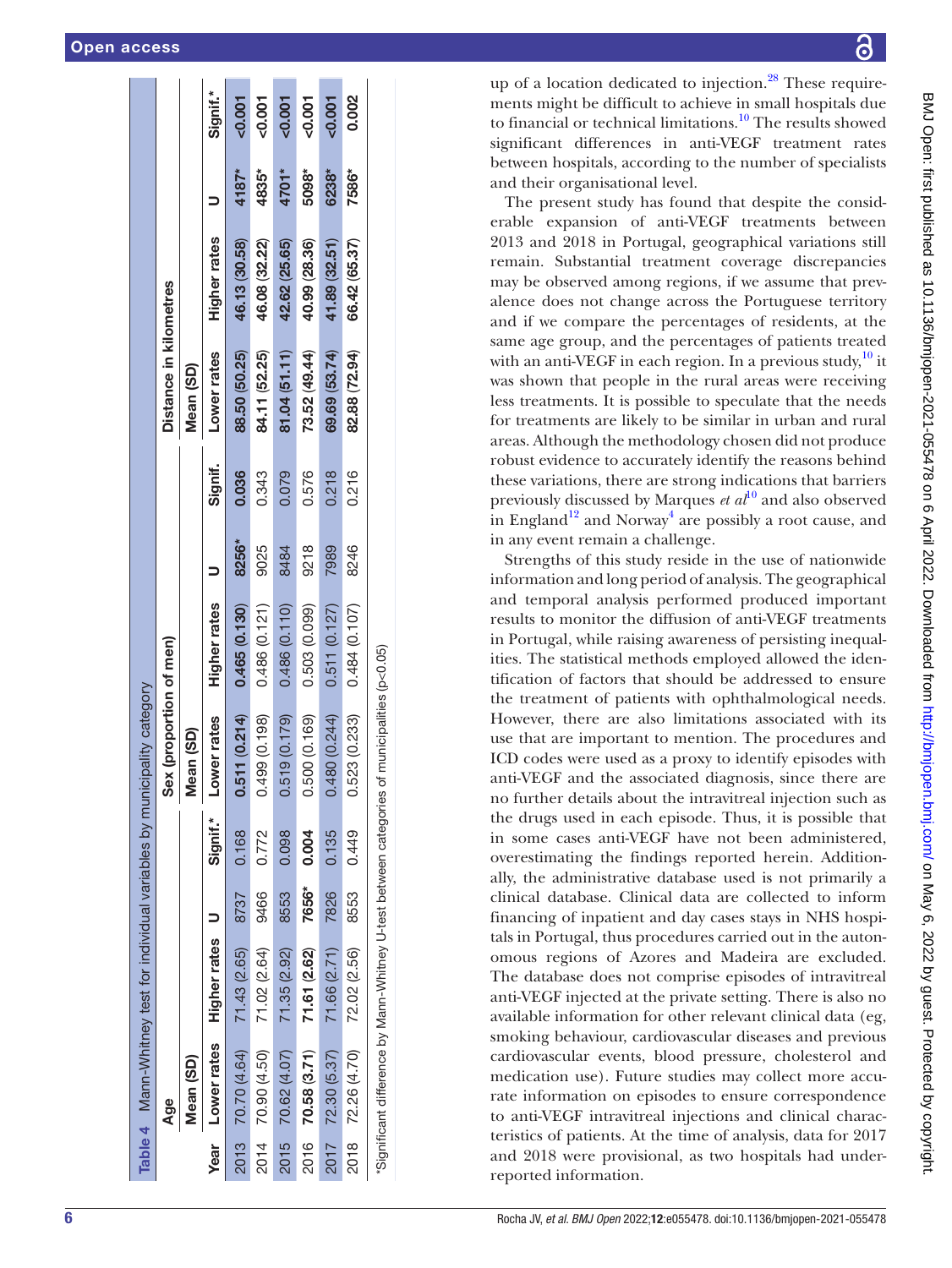|      |                                                                   |                            |       |          | Table 4 Mann-Whitney test for individual variables by municipality category |                     |       |         |                        |                     |       |          |
|------|-------------------------------------------------------------------|----------------------------|-------|----------|-----------------------------------------------------------------------------|---------------------|-------|---------|------------------------|---------------------|-------|----------|
|      | Age                                                               |                            |       |          | Sex (proportion of men)                                                     |                     |       |         | Distance in kilometres |                     |       |          |
|      | Mean (SD)                                                         |                            |       |          | <b>Aean (SD)</b>                                                            |                     |       |         | Mean (SD)              |                     |       |          |
| Year |                                                                   | Lower rates Higher rates U |       | Signif.* | Lower rates                                                                 | <b>Higher rates</b> |       | Signif. | Lower rates            | <b>Higher rates</b> |       | Signif.* |
|      | 2013 70.70 (4.64)                                                 | 71.43 (2.65)               | 8737  | 0.168    | 0.511(0.214)                                                                | 0.465(0.130)        | 8256* | 0.036   | 88.50 (50.25)          | 46.13 (30.58)       | 4187* | $-0.001$ |
| 2014 | 70.90 (4.50)                                                      | 71.02 (2.64)               | 9466  | 0.772    | 499 (0.198)                                                                 | 0.486 (0.121)       | 9025  | 0.343   | 84.11 (52.25)          | 46.08 (32.22)       | 4835* | 0.001    |
|      | 2015 70.62 (4.07)                                                 | 71.35 (2.92)               | 8553  | 0.098    | 1.519 (0.179)                                                               | 0.486 (0.110)       | 8484  | 0.079   | 81.04 (51.11)          | 42.62 (25.65)       | 4701* | $-0.001$ |
| 2016 | 70.58 (3.71)                                                      | 71.61 (2.62)               | 7656* | 0.004    | .500 (0.169)                                                                | 0.503 (0.099)       | 9218  | 0.576   | 73.52 (49.44)          | 40.99 (28.36)       | 5098* | 0.007    |
| 2017 | 72.30 (5.37)                                                      | 71.66 (2.71)               | 7826  | 0.135    | 480 (0.244)                                                                 | 0.511(0.127)        | 7989  | 0.218   | 69.69 (53.74)          | 41.89 (32.51)       | 6238* | 0.007    |
|      | 2018 72.26 (4.70)                                                 | 72.02 (2.56)               | 8553  | 0.449    | 1.523 (0.233)                                                               | 0.484 (0.107)       | 8246  | 0.216   | 82.88 (72.94)          | 66.42 (65.37)       | 7586* | 0.002    |
|      | "Significant difference by Mann-Whitney U-test between categories |                            |       |          | of municipalities (p<0.05)                                                  |                     |       |         |                        |                     |       |          |

up of a location dedicated to injection.<sup>28</sup> These requirements might be difficult to achieve in small hospitals due to financial or technical limitations[.10](#page-6-6) The results showed significant differences in anti-VEGF treatment rates between hospitals, according to the number of specialists and their organisational level.

The present study has found that despite the consid erable expansion of anti-VEGF treatments between 2013 and 2018 in Portugal, geographical variations still remain. Substantial treatment coverage discrepancies may be observed among regions, if we assume that prevalence does not change across the Portuguese territory and if we compare the percentages of residents, at the same age group, and the percentages of patients treated with an anti-VEGF in each region. In a previous study,  $10$  it was shown that people in the rural areas were receiving less treatments. It is possible to speculate that the needs for treatments are likely to be similar in urban and rural areas. Although the methodology chosen did not produce robust evidence to accurately identify the reasons behind these variations, there are strong indications that barriers previously discussed by Marques *et al*[10](#page-6-6) and also observed in England<sup>12</sup> and Norway<sup>[4](#page-6-3)</sup> are possibly a root cause, and in any event remain a challenge.

<span id="page-5-0"></span>Strengths of this study reside in the use of nationwide information and long period of analysis. The geographical and temporal analysis performed produced important results to monitor the diffusion of anti-VEGF treatments in Portugal, while raising awareness of persisting inequal ities. The statistical methods employed allowed the iden tification of factors that should be addressed to ensure the treatment of patients with ophthalmological needs. However, there are also limitations associated with its use that are important to mention. The procedures and ICD codes were used as a proxy to identify episodes with anti-VEGF and the associated diagnosis, since there are no further details about the intravitreal injection such as the drugs used in each episode. Thus, it is possible that in some cases anti-VEGF have not been administered, overestimating the findings reported herein. Addition ally, the administrative database used is not primarily a clinical database. Clinical data are collected to inform financing of inpatient and day cases stays in NHS hospi tals in Portugal, thus procedures carried out in the auton omous regions of Azores and Madeira are excluded. The database does not comprise episodes of intravitreal anti-VEGF injected at the private setting. There is also no available information for other relevant clinical data (eg, smoking behaviour, cardiovascular diseases and previous cardiovascular events, blood pressure, cholesterol and medication use). Future studies may collect more accurate information on episodes to ensure correspondence to anti-VEGF intravitreal injections and clinical charac teristics of patients. At the time of analysis, data for 2017 and 2018 were provisional, as two hospitals had underreported information.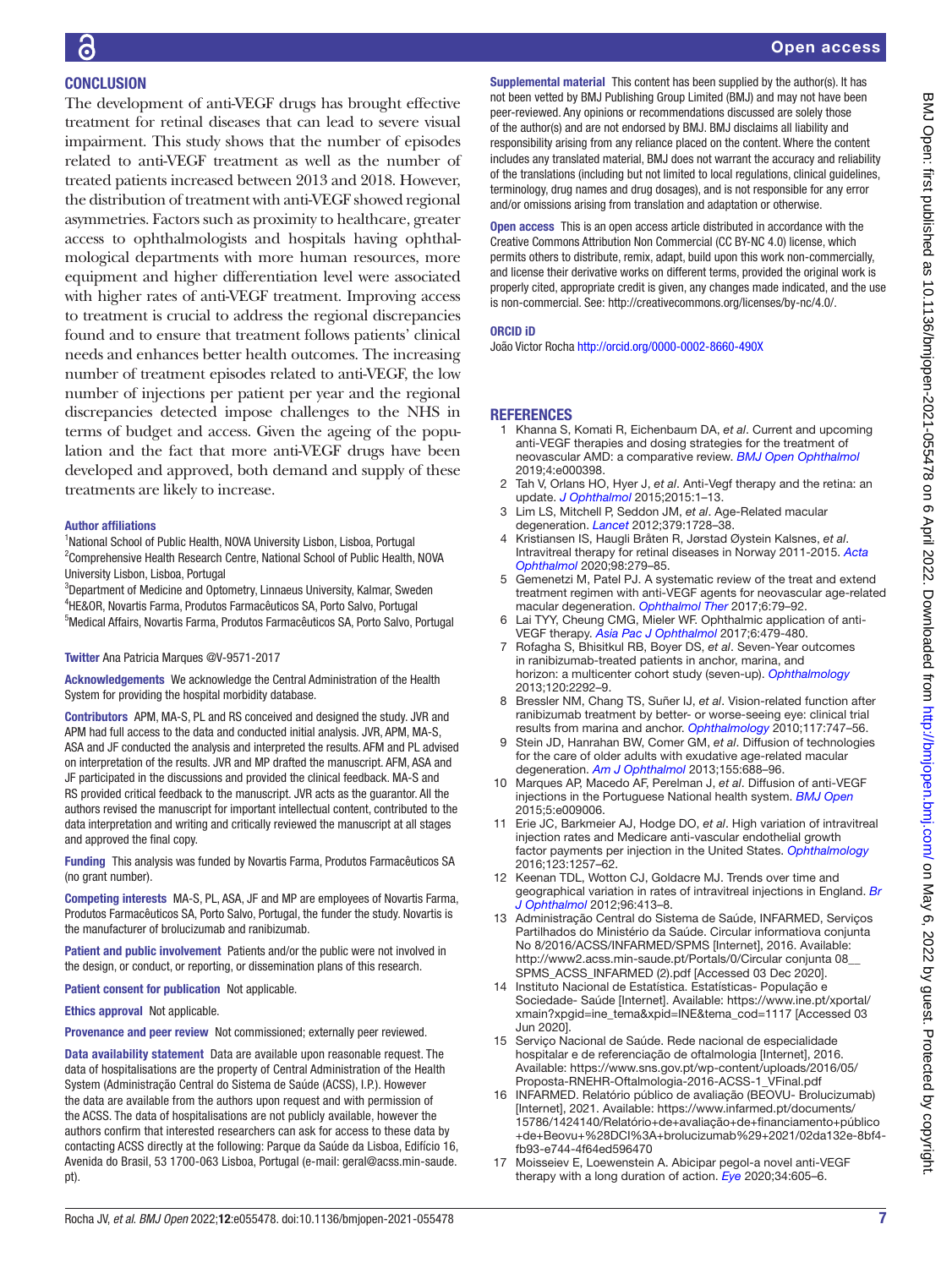### **CONCLUSION**

The development of anti-VEGF drugs has brought effective treatment for retinal diseases that can lead to severe visual impairment. This study shows that the number of episodes related to anti-VEGF treatment as well as the number of treated patients increased between 2013 and 2018. However, the distribution of treatment with anti-VEGF showed regional asymmetries. Factors such as proximity to healthcare, greater access to ophthalmologists and hospitals having ophthalmological departments with more human resources, more equipment and higher differentiation level were associated with higher rates of anti-VEGF treatment. Improving access to treatment is crucial to address the regional discrepancies found and to ensure that treatment follows patients' clinical needs and enhances better health outcomes. The increasing number of treatment episodes related to anti-VEGF, the low number of injections per patient per year and the regional discrepancies detected impose challenges to the NHS in terms of budget and access. Given the ageing of the population and the fact that more anti-VEGF drugs have been developed and approved, both demand and supply of these treatments are likely to increase.

#### Author affiliations

<sup>1</sup>National School of Public Health, NOVA University Lisbon, Lisboa, Portugal <sup>2</sup> Comprehensive Health Research Centre, National School of Public Health, NOVA University Lisbon, Lisboa, Portugal

3 Department of Medicine and Optometry, Linnaeus University, Kalmar, Sweden 4 HE&OR, Novartis Farma, Produtos Farmacêuticos SA, Porto Salvo, Portugal 5 Medical Affairs, Novartis Farma, Produtos Farmacêuticos SA, Porto Salvo, Portugal

#### Twitter Ana Patricia Marques [@V-9571-2017](https://twitter.com/V-9571-2017)

Acknowledgements We acknowledge the Central Administration of the Health System for providing the hospital morbidity database.

Contributors APM, MA-S, PL and RS conceived and designed the study. JVR and APM had full access to the data and conducted initial analysis. JVR, APM, MA-S, ASA and JF conducted the analysis and interpreted the results. AFM and PL advised on interpretation of the results. JVR and MP drafted the manuscript. AFM, ASA and JF participated in the discussions and provided the clinical feedback. MA-S and RS provided critical feedback to the manuscript. JVR acts as the guarantor. All the authors revised the manuscript for important intellectual content, contributed to the data interpretation and writing and critically reviewed the manuscript at all stages and approved the final copy.

Funding This analysis was funded by Novartis Farma, Produtos Farmacêuticos SA (no grant number).

Competing interests MA-S, PL, ASA, JF and MP are employees of Novartis Farma, Produtos Farmacêuticos SA, Porto Salvo, Portugal, the funder the study. Novartis is the manufacturer of brolucizumab and ranibizumab.

Patient and public involvement Patients and/or the public were not involved in the design, or conduct, or reporting, or dissemination plans of this research.

Patient consent for publication Not applicable.

Ethics approval Not applicable.

Provenance and peer review Not commissioned; externally peer reviewed.

Data availability statement Data are available upon reasonable request. The data of hospitalisations are the property of Central Administration of the Health System (Administração Central do Sistema de Saúde (ACSS), I.P.). However the data are available from the authors upon request and with permission of the ACSS. The data of hospitalisations are not publicly available, however the authors confirm that interested researchers can ask for access to these data by contacting ACSS directly at the following: Parque da Saúde da Lisboa, Edifício 16, Avenida do Brasil, 53 1700-063 Lisboa, Portugal (e-mail: geral@acss.min-saude. pt).

Supplemental material This content has been supplied by the author(s). It has not been vetted by BMJ Publishing Group Limited (BMJ) and may not have been peer-reviewed. Any opinions or recommendations discussed are solely those of the author(s) and are not endorsed by BMJ. BMJ disclaims all liability and responsibility arising from any reliance placed on the content. Where the content includes any translated material, BMJ does not warrant the accuracy and reliability of the translations (including but not limited to local regulations, clinical guidelines, terminology, drug names and drug dosages), and is not responsible for any error and/or omissions arising from translation and adaptation or otherwise.

Open access This is an open access article distributed in accordance with the Creative Commons Attribution Non Commercial (CC BY-NC 4.0) license, which permits others to distribute, remix, adapt, build upon this work non-commercially, and license their derivative works on different terms, provided the original work is properly cited, appropriate credit is given, any changes made indicated, and the use is non-commercial. See: [http://creativecommons.org/licenses/by-nc/4.0/.](http://creativecommons.org/licenses/by-nc/4.0/)

#### ORCID iD

João Victor Rocha <http://orcid.org/0000-0002-8660-490X>

#### **REFERENCES**

- <span id="page-6-0"></span>1 Khanna S, Komati R, Eichenbaum DA, *et al*. Current and upcoming anti-VEGF therapies and dosing strategies for the treatment of neovascular AMD: a comparative review. *[BMJ Open Ophthalmol](http://dx.doi.org/10.1136/bmjophth-2019-000398)* 2019;4:e000398.
- <span id="page-6-2"></span>2 Tah V, Orlans HO, Hyer J, *et al*. Anti-Vegf therapy and the retina: an update. *[J Ophthalmol](http://dx.doi.org/10.1155/2015/627674)* 2015;2015:1–13.
- <span id="page-6-1"></span>3 Lim LS, Mitchell P, Seddon JM, *et al*. Age-Related macular degeneration. *[Lancet](http://dx.doi.org/10.1016/S0140-6736(12)60282-7)* 2012;379:1728–38.
- <span id="page-6-3"></span>4 Kristiansen IS, Haugli Bråten R, Jørstad Øystein Kalsnes, *et al*. Intravitreal therapy for retinal diseases in Norway 2011-2015. *[Acta](http://dx.doi.org/10.1111/aos.14262)  [Ophthalmol](http://dx.doi.org/10.1111/aos.14262)* 2020;98:279–85.
- 5 Gemenetzi M, Patel PJ. A systematic review of the treat and extend treatment regimen with anti-VEGF agents for neovascular age-related macular degeneration. *[Ophthalmol Ther](http://dx.doi.org/10.1007/s40123-017-0087-5)* 2017;6:79–92.
- <span id="page-6-4"></span>6 Lai TYY, Cheung CMG, Mieler WF. Ophthalmic application of anti-VEGF therapy. *[Asia Pac J Ophthalmol](http://dx.doi.org/10.22608/APO.2017500)* 2017;6:479-480.
- 7 Rofagha S, Bhisitkul RB, Boyer DS, *et al*. Seven-Year outcomes in ranibizumab-treated patients in anchor, marina, and horizon: a multicenter cohort study (seven-up). *[Ophthalmology](http://dx.doi.org/10.1016/j.ophtha.2013.03.046)* 2013;120:2292–9.
- 8 Bressler NM, Chang TS, Suñer IJ, *et al*. Vision-related function after ranibizumab treatment by better- or worse-seeing eye: clinical trial results from marina and anchor. *[Ophthalmology](http://dx.doi.org/10.1016/j.ophtha.2009.09.002)* 2010;117:747–56.
- 9 Stein JD, Hanrahan BW, Comer GM, *et al*. Diffusion of technologies for the care of older adults with exudative age-related macular degeneration. *[Am J Ophthalmol](http://dx.doi.org/10.1016/j.ajo.2012.10.003)* 2013;155:688–96.
- <span id="page-6-6"></span>10 Marques AP, Macedo AF, Perelman J, *et al*. Diffusion of anti-VEGF injections in the Portuguese National health system. *[BMJ Open](http://dx.doi.org/10.1136/bmjopen-2015-009006)* 2015;5:e009006.
- <span id="page-6-5"></span>11 Erie JC, Barkmeier AJ, Hodge DO, *et al*. High variation of intravitreal injection rates and Medicare anti-vascular endothelial growth factor payments per injection in the United States. *[Ophthalmology](http://dx.doi.org/10.1016/j.ophtha.2016.02.015)* 2016;123:1257–62.
- <span id="page-6-11"></span>12 Keenan TDL, Wotton CJ, Goldacre MJ. Trends over time and geographical variation in rates of intravitreal injections in England. *[Br](http://dx.doi.org/10.1136/bjophthalmol-2011-300338)  [J Ophthalmol](http://dx.doi.org/10.1136/bjophthalmol-2011-300338)* 2012;96:413–8.
- <span id="page-6-7"></span>13 Administração Central do Sistema de Saúde, INFARMED, Serviços Partilhados do Ministério da Saúde. Circular informatiova conjunta No 8/2016/ACSS/INFARMED/SPMS [Internet], 2016. Available: [http://www2.acss.min-saude.pt/Portals/0/Circular conjunta 08\\_\\_](http://www2.acss.min-saude.pt/Portals/0/Circular%20conjunta%2008__SPMS_ACSS_INFARMED%20(2).pdf) [SPMS\\_ACSS\\_INFARMED \(2\).pdf](http://www2.acss.min-saude.pt/Portals/0/Circular%20conjunta%2008__SPMS_ACSS_INFARMED%20(2).pdf) [Accessed 03 Dec 2020].
- <span id="page-6-8"></span>14 Instituto Nacional de Estatística. Estatísticas- População e Sociedade- Saúde [Internet]. Available: [https://www.ine.pt/xportal/](https://www.ine.pt/xportal/xmain?xpgid=ine_tema&xpid=INE&tema_cod=1117) [xmain?xpgid=ine\\_tema&xpid=INE&tema\\_cod=1117](https://www.ine.pt/xportal/xmain?xpgid=ine_tema&xpid=INE&tema_cod=1117) [Accessed 03 Jun 2020].
- <span id="page-6-9"></span>15 Serviço Nacional de Saúde. Rede nacional de especialidade hospitalar e de referenciação de oftalmologia [Internet], 2016. Available: [https://www.sns.gov.pt/wp-content/uploads/2016/05/](https://www.sns.gov.pt/wp-content/uploads/2016/05/Proposta-RNEHR-Oftalmologia-2016-ACSS-1_VFinal.pdf) [Proposta-RNEHR-Oftalmologia-2016-ACSS-1\\_VFinal.pdf](https://www.sns.gov.pt/wp-content/uploads/2016/05/Proposta-RNEHR-Oftalmologia-2016-ACSS-1_VFinal.pdf)
- 16 INFARMED. Relatório público de avaliação (BEOVU- Brolucizumab) [Internet], 2021. Available: [https://www.infarmed.pt/documents/](https://www.infarmed.pt/documents/15786/1424140/Relatório+de+avaliação+de+financiamento+público+de+Beovu+%28DCI%3A+brolucizumab%29+2021/02da132e-8bf4-fb93-e744-4f64ed596470) [15786/1424140/Relatório+de+avaliação+de+financiamento+público](https://www.infarmed.pt/documents/15786/1424140/Relatório+de+avaliação+de+financiamento+público+de+Beovu+%28DCI%3A+brolucizumab%29+2021/02da132e-8bf4-fb93-e744-4f64ed596470) [+de+Beovu+%28DCI%3A+brolucizumab%29+2021/02da132e-8bf4](https://www.infarmed.pt/documents/15786/1424140/Relatório+de+avaliação+de+financiamento+público+de+Beovu+%28DCI%3A+brolucizumab%29+2021/02da132e-8bf4-fb93-e744-4f64ed596470) [fb93-e744-4f64ed596470](https://www.infarmed.pt/documents/15786/1424140/Relatório+de+avaliação+de+financiamento+público+de+Beovu+%28DCI%3A+brolucizumab%29+2021/02da132e-8bf4-fb93-e744-4f64ed596470)
- <span id="page-6-10"></span>17 Moisseiev E, Loewenstein A. Abicipar pegol-a novel anti-VEGF therapy with a long duration of action. *[Eye](http://dx.doi.org/10.1038/s41433-019-0584-y)* 2020;34:605–6.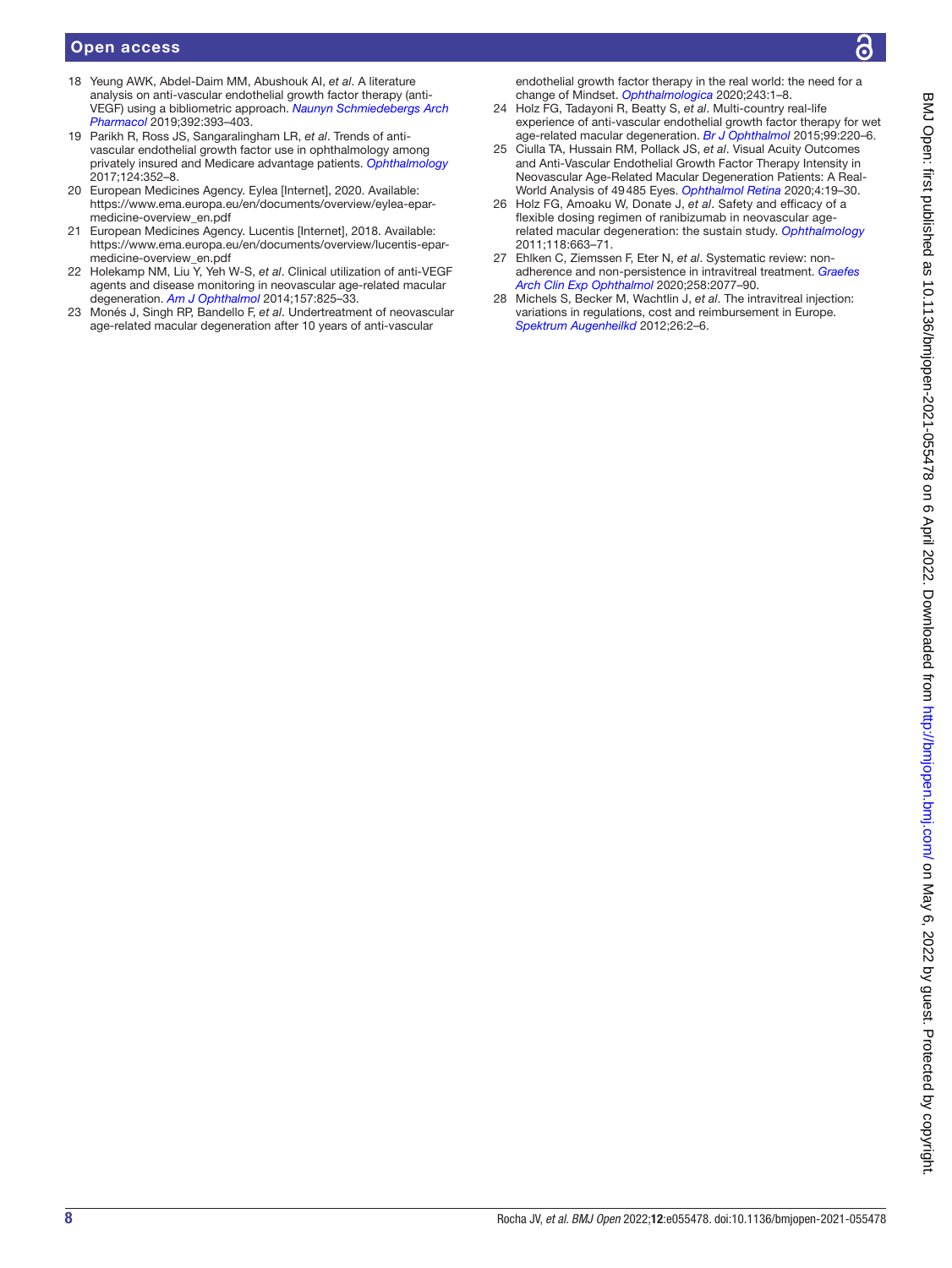#### Open access

- <span id="page-7-0"></span>18 Yeung AWK, Abdel-Daim MM, Abushouk AI, *et al*. A literature analysis on anti-vascular endothelial growth factor therapy (anti-VEGF) using a bibliometric approach. *[Naunyn Schmiedebergs Arch](http://dx.doi.org/10.1007/s00210-019-01629-y)  [Pharmacol](http://dx.doi.org/10.1007/s00210-019-01629-y)* 2019;392:393–403.
- <span id="page-7-1"></span>19 Parikh R, Ross JS, Sangaralingham LR, *et al*. Trends of antivascular endothelial growth factor use in ophthalmology among privately insured and Medicare advantage patients. *[Ophthalmology](http://dx.doi.org/10.1016/j.ophtha.2016.10.036)* 2017;124:352–8.
- <span id="page-7-2"></span>20 European Medicines Agency. Eylea [Internet], 2020. Available: [https://www.ema.europa.eu/en/documents/overview/eylea-epar](https://www.ema.europa.eu/en/documents/overview/eylea-epar-medicine-overview_en.pdf)[medicine-overview\\_en.pdf](https://www.ema.europa.eu/en/documents/overview/eylea-epar-medicine-overview_en.pdf)
- 21 European Medicines Agency. Lucentis [Internet], 2018. Available: [https://www.ema.europa.eu/en/documents/overview/lucentis-epar](https://www.ema.europa.eu/en/documents/overview/lucentis-epar-medicine-overview_en.pdf)[medicine-overview\\_en.pdf](https://www.ema.europa.eu/en/documents/overview/lucentis-epar-medicine-overview_en.pdf)
- <span id="page-7-3"></span>22 Holekamp NM, Liu Y, Yeh W-S, *et al*. Clinical utilization of anti-VEGF agents and disease monitoring in neovascular age-related macular degeneration. *[Am J Ophthalmol](http://dx.doi.org/10.1016/j.ajo.2013.12.018)* 2014;157:825–33.
- 23 Monés J, Singh RP, Bandello F, *et al*. Undertreatment of neovascular age-related macular degeneration after 10 years of anti-vascular

endothelial growth factor therapy in the real world: the need for a change of Mindset. *[Ophthalmologica](http://dx.doi.org/10.1159/000502747)* 2020;243:1–8.

- 24 Holz FG, Tadayoni R, Beatty S, *et al*. Multi-country real-life experience of anti-vascular endothelial growth factor therapy for wet age-related macular degeneration. *[Br J Ophthalmol](http://dx.doi.org/10.1136/bjophthalmol-2014-305327)* 2015;99:220–6.
- 25 Ciulla TA, Hussain RM, Pollack JS, *et al*. Visual Acuity Outcomes and Anti-Vascular Endothelial Growth Factor Therapy Intensity in Neovascular Age-Related Macular Degeneration Patients: A Real-World Analysis of 49485 Eyes. *[Ophthalmol Retina](http://dx.doi.org/10.1016/j.oret.2019.05.017)* 2020;4:19–30.
- 26 Holz FG, Amoaku W, Donate J, *et al*. Safety and efficacy of a flexible dosing regimen of ranibizumab in neovascular agerelated macular degeneration: the sustain study. *[Ophthalmology](http://dx.doi.org/10.1016/j.ophtha.2010.12.019)* 2011;118:663–71.
- <span id="page-7-4"></span>27 Ehlken C, Ziemssen F, Eter N, *et al*. Systematic review: nonadherence and non-persistence in intravitreal treatment. *[Graefes](http://dx.doi.org/10.1007/s00417-020-04798-2)  [Arch Clin Exp Ophthalmol](http://dx.doi.org/10.1007/s00417-020-04798-2)* 2020;258:2077–90.
- <span id="page-7-5"></span>28 Michels S, Becker M, Wachtlin J, *et al*. The intravitreal injection: variations in regulations, cost and reimbursement in Europe. *[Spektrum Augenheilkd](http://dx.doi.org/10.1007/s00717-012-0072-2)* 2012;26:2–6.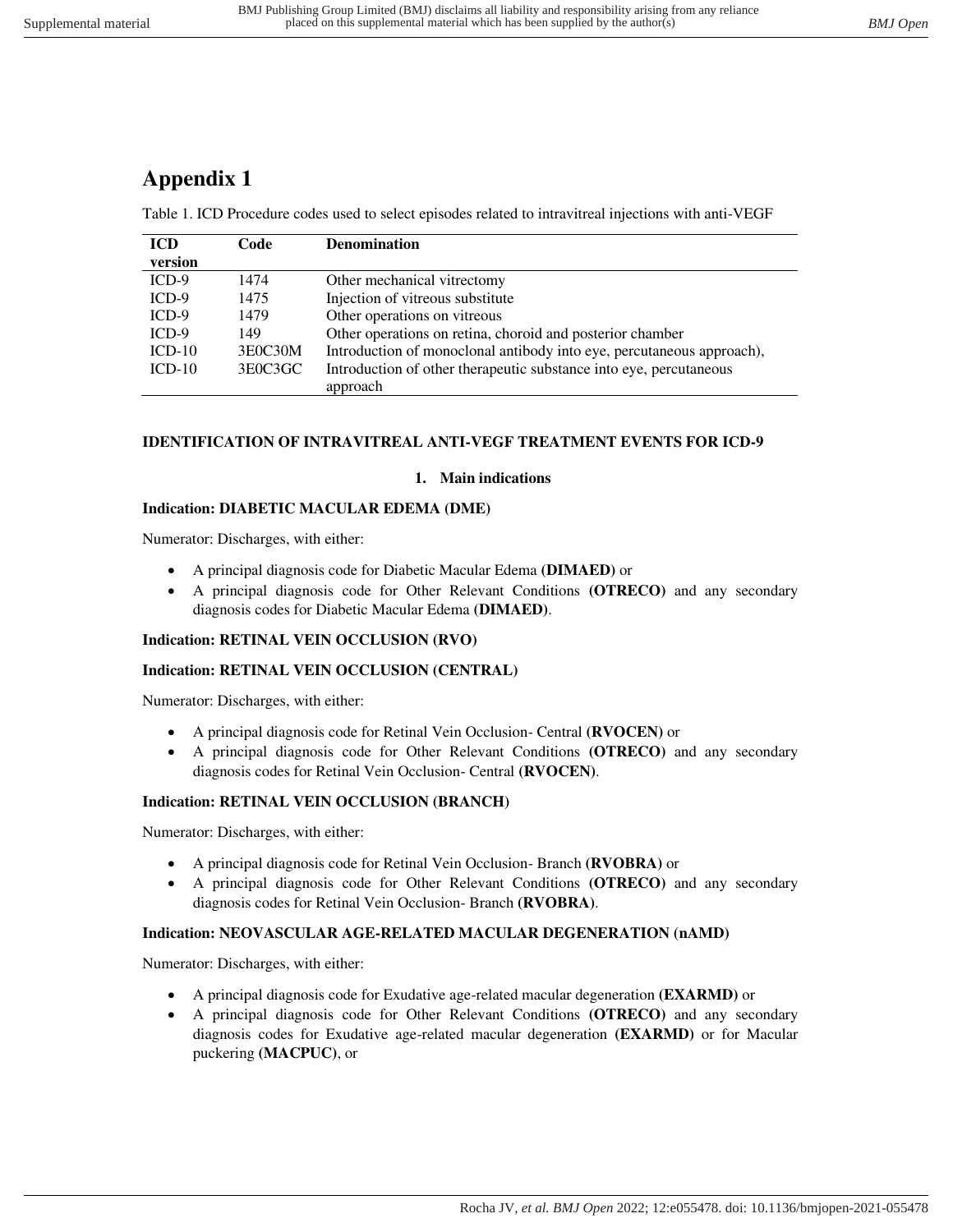## **Appendix 1**

Table 1. ICD Procedure codes used to select episodes related to intravitreal injections with anti-VEGF

| <b>ICD</b> | Code    | <b>Denomination</b>                                                   |
|------------|---------|-----------------------------------------------------------------------|
| version    |         |                                                                       |
| $ICD-9$    | 1474    | Other mechanical vitrectomy                                           |
| $ICD-9$    | 1475    | Injection of vitreous substitute                                      |
| $ICD-9$    | 1479    | Other operations on vitreous                                          |
| $ICD-9$    | 149     | Other operations on retina, choroid and posterior chamber             |
| $ICD-10$   | 3E0C30M | Introduction of monoclonal antibody into eye, percutaneous approach), |
| $ICD-10$   | 3E0C3GC | Introduction of other therapeutic substance into eye, percutaneous    |
|            |         | approach                                                              |

### **IDENTIFICATION OF INTRAVITREAL ANTI-VEGF TREATMENT EVENTS FOR ICD-9**

### **1. Main indications**

### **Indication: DIABETIC MACULAR EDEMA (DME)**

Numerator: Discharges, with either:

- A principal diagnosis code for Diabetic Macular Edema **(DIMAED)** or
- A principal diagnosis code for Other Relevant Conditions **(OTRECO)** and any secondary diagnosis codes for Diabetic Macular Edema **(DIMAED)**.

### **Indication: RETINAL VEIN OCCLUSION (RVO)**

### **Indication: RETINAL VEIN OCCLUSION (CENTRAL)**

Numerator: Discharges, with either:

- A principal diagnosis code for Retinal Vein Occlusion- Central **(RVOCEN)** or
- A principal diagnosis code for Other Relevant Conditions **(OTRECO)** and any secondary diagnosis codes for Retinal Vein Occlusion- Central **(RVOCEN)**.

### **Indication: RETINAL VEIN OCCLUSION (BRANCH)**

Numerator: Discharges, with either:

- A principal diagnosis code for Retinal Vein Occlusion- Branch **(RVOBRA)** or
- A principal diagnosis code for Other Relevant Conditions **(OTRECO)** and any secondary diagnosis codes for Retinal Vein Occlusion- Branch **(RVOBRA)**.

### **Indication: NEOVASCULAR AGE-RELATED MACULAR DEGENERATION (nAMD)**

Numerator: Discharges, with either:

- A principal diagnosis code for Exudative age-related macular degeneration **(EXARMD)** or
- A principal diagnosis code for Other Relevant Conditions **(OTRECO)** and any secondary diagnosis codes for Exudative age-related macular degeneration **(EXARMD)** or for Macular puckering **(MACPUC)**, or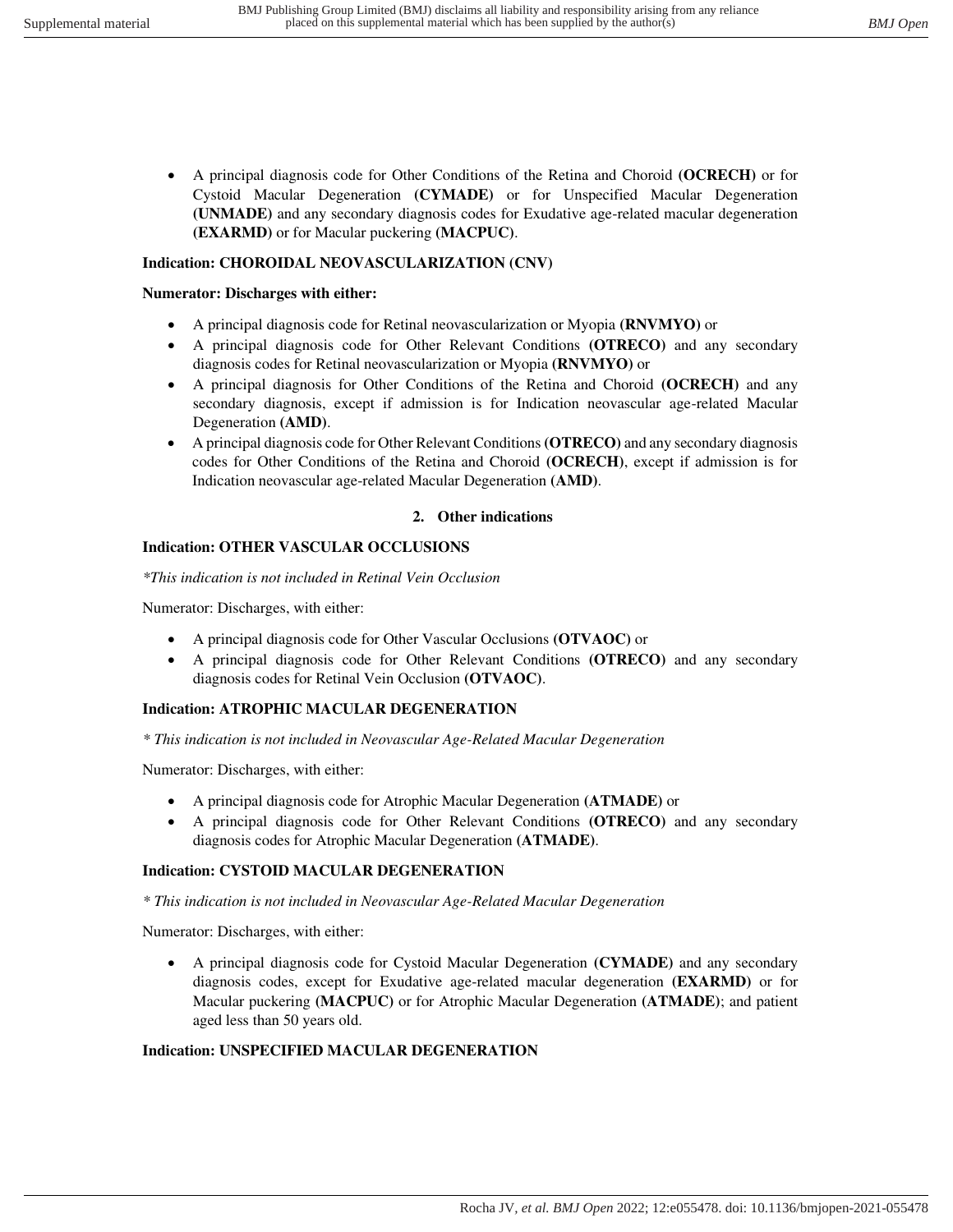• A principal diagnosis code for Other Conditions of the Retina and Choroid **(OCRECH)** or for Cystoid Macular Degeneration **(CYMADE)** or for Unspecified Macular Degeneration **(UNMADE)** and any secondary diagnosis codes for Exudative age-related macular degeneration **(EXARMD)** or for Macular puckering **(MACPUC)**.

### **Indication: CHOROIDAL NEOVASCULARIZATION (CNV)**

### **Numerator: Discharges with either:**

- A principal diagnosis code for Retinal neovascularization or Myopia **(RNVMYO)** or
- A principal diagnosis code for Other Relevant Conditions **(OTRECO)** and any secondary diagnosis codes for Retinal neovascularization or Myopia **(RNVMYO)** or
- A principal diagnosis for Other Conditions of the Retina and Choroid **(OCRECH)** and any secondary diagnosis, except if admission is for Indication neovascular age-related Macular Degeneration **(AMD)**.
- A principal diagnosis code for Other Relevant Conditions **(OTRECO)** and any secondary diagnosis codes for Other Conditions of the Retina and Choroid **(OCRECH)**, except if admission is for Indication neovascular age-related Macular Degeneration **(AMD)**.

### **2. Other indications**

### **Indication: OTHER VASCULAR OCCLUSIONS**

*\*This indication is not included in Retinal Vein Occlusion* 

Numerator: Discharges, with either:

- A principal diagnosis code for Other Vascular Occlusions **(OTVAOC)** or
- A principal diagnosis code for Other Relevant Conditions **(OTRECO)** and any secondary diagnosis codes for Retinal Vein Occlusion **(OTVAOC)**.

### **Indication: ATROPHIC MACULAR DEGENERATION**

*\* This indication is not included in Neovascular Age-Related Macular Degeneration* 

Numerator: Discharges, with either:

- A principal diagnosis code for Atrophic Macular Degeneration **(ATMADE)** or
- A principal diagnosis code for Other Relevant Conditions **(OTRECO)** and any secondary diagnosis codes for Atrophic Macular Degeneration **(ATMADE)**.

### **Indication: CYSTOID MACULAR DEGENERATION**

*\* This indication is not included in Neovascular Age-Related Macular Degeneration* 

Numerator: Discharges, with either:

• A principal diagnosis code for Cystoid Macular Degeneration **(CYMADE)** and any secondary diagnosis codes, except for Exudative age-related macular degeneration **(EXARMD)** or for Macular puckering **(MACPUC)** or for Atrophic Macular Degeneration **(ATMADE)**; and patient aged less than 50 years old.

### **Indication: UNSPECIFIED MACULAR DEGENERATION**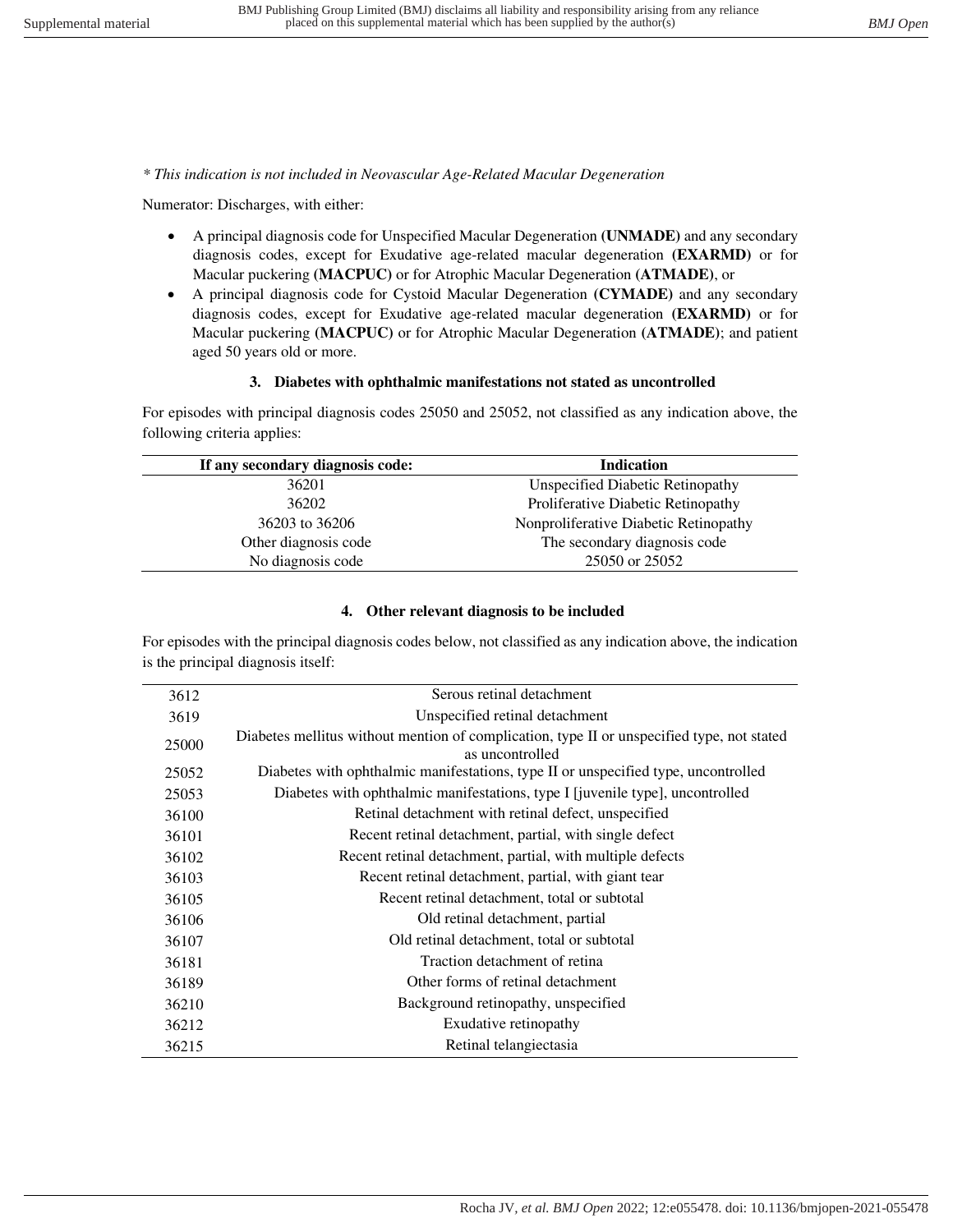*\* This indication is not included in Neovascular Age-Related Macular Degeneration* 

Numerator: Discharges, with either:

- A principal diagnosis code for Unspecified Macular Degeneration **(UNMADE)** and any secondary diagnosis codes, except for Exudative age-related macular degeneration **(EXARMD)** or for Macular puckering **(MACPUC)** or for Atrophic Macular Degeneration **(ATMADE)**, or
- A principal diagnosis code for Cystoid Macular Degeneration **(CYMADE)** and any secondary diagnosis codes, except for Exudative age-related macular degeneration **(EXARMD)** or for Macular puckering **(MACPUC)** or for Atrophic Macular Degeneration **(ATMADE)**; and patient aged 50 years old or more.

### **3. Diabetes with ophthalmic manifestations not stated as uncontrolled**

For episodes with principal diagnosis codes 25050 and 25052, not classified as any indication above, the following criteria applies:

| <b>Indication</b>                     |
|---------------------------------------|
| Unspecified Diabetic Retinopathy      |
| Proliferative Diabetic Retinopathy    |
| Nonproliferative Diabetic Retinopathy |
| The secondary diagnosis code          |
| 25050 or 25052                        |
|                                       |

### **4. Other relevant diagnosis to be included**

For episodes with the principal diagnosis codes below, not classified as any indication above, the indication is the principal diagnosis itself:

| 3612  | Serous retinal detachment                                                                                     |
|-------|---------------------------------------------------------------------------------------------------------------|
| 3619  | Unspecified retinal detachment                                                                                |
| 25000 | Diabetes mellitus without mention of complication, type II or unspecified type, not stated<br>as uncontrolled |
| 25052 | Diabetes with ophthalmic manifestations, type II or unspecified type, uncontrolled                            |
| 25053 | Diabetes with ophthalmic manifestations, type I [juvenile type], uncontrolled                                 |
| 36100 | Retinal detachment with retinal defect, unspecified                                                           |
| 36101 | Recent retinal detachment, partial, with single defect                                                        |
| 36102 | Recent retinal detachment, partial, with multiple defects                                                     |
| 36103 | Recent retinal detachment, partial, with giant tear                                                           |
| 36105 | Recent retinal detachment, total or subtotal                                                                  |
| 36106 | Old retinal detachment, partial                                                                               |
| 36107 | Old retinal detachment, total or subtotal                                                                     |
| 36181 | Traction detachment of retina                                                                                 |
| 36189 | Other forms of retinal detachment                                                                             |
| 36210 | Background retinopathy, unspecified                                                                           |
| 36212 | Exudative retinopathy                                                                                         |
| 36215 | Retinal telangiectasia                                                                                        |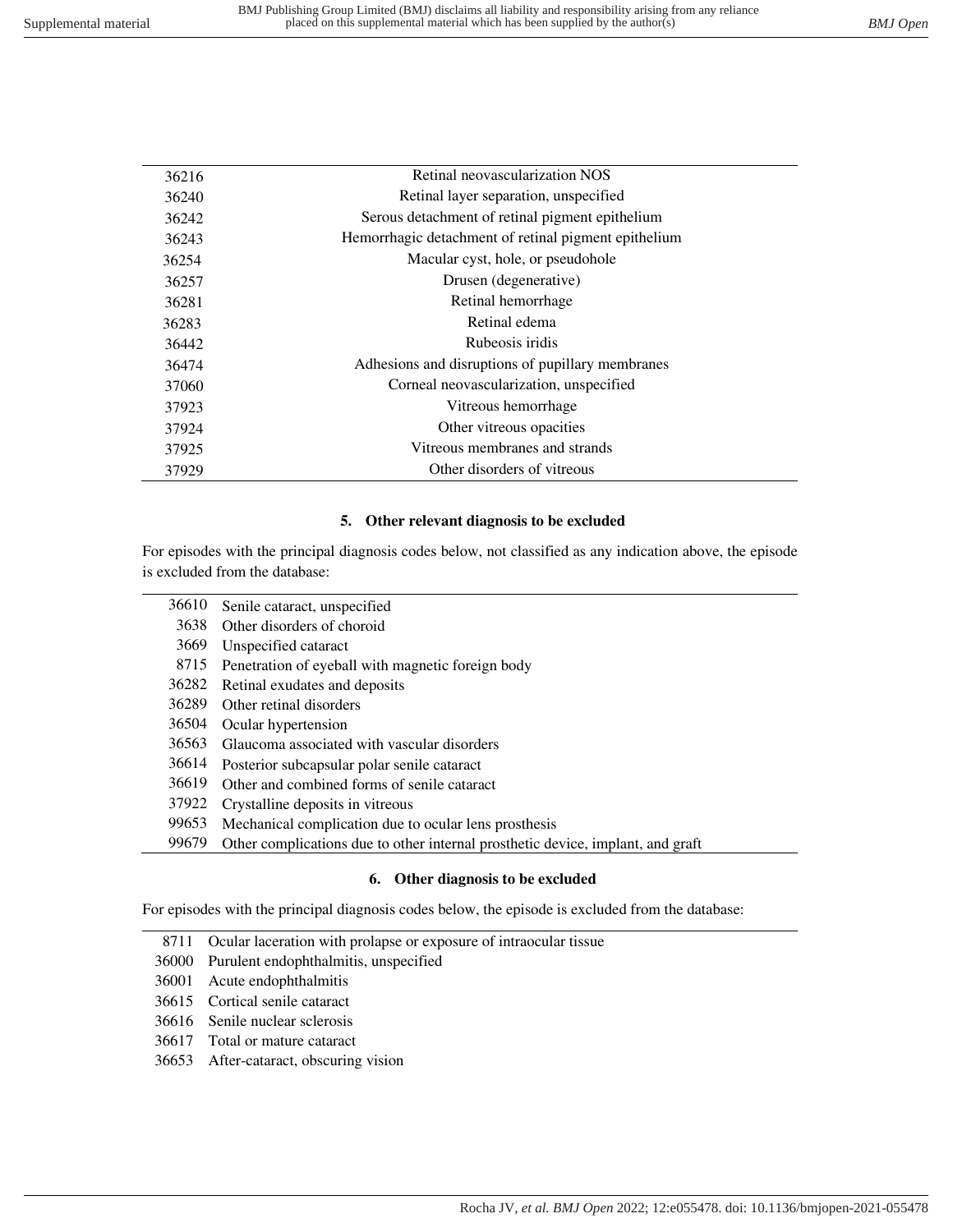÷.

| 36216 | Retinal neovascularization NOS                       |
|-------|------------------------------------------------------|
| 36240 | Retinal layer separation, unspecified                |
| 36242 | Serous detachment of retinal pigment epithelium      |
| 36243 | Hemorrhagic detachment of retinal pigment epithelium |
| 36254 | Macular cyst, hole, or pseudohole                    |
| 36257 | Drusen (degenerative)                                |
| 36281 | Retinal hemorrhage                                   |
| 36283 | Retinal edema                                        |
| 36442 | Rubeosis iridis                                      |
| 36474 | Adhesions and disruptions of pupillary membranes     |
| 37060 | Corneal neovascularization, unspecified              |
| 37923 | Vitreous hemorrhage                                  |
| 37924 | Other vitreous opacities                             |
| 37925 | Vitreous membranes and strands                       |
| 37929 | Other disorders of vitreous                          |
|       |                                                      |

### **5. Other relevant diagnosis to be excluded**

For episodes with the principal diagnosis codes below, not classified as any indication above, the episode is excluded from the database:

| 36610 | Senile cataract, unspecified                                                    |
|-------|---------------------------------------------------------------------------------|
| 3638  | Other disorders of choroid                                                      |
| 3669  | Unspecified cataract                                                            |
| 8715  | Penetration of eyeball with magnetic foreign body                               |
| 36282 | Retinal exudates and deposits                                                   |
| 36289 | Other retinal disorders                                                         |
| 36504 | Ocular hypertension                                                             |
| 36563 | Glaucoma associated with vascular disorders                                     |
| 36614 | Posterior subcapsular polar senile cataract                                     |
| 36619 | Other and combined forms of senile cataract                                     |
| 37922 | Crystalline deposits in vitreous                                                |
| 99653 | Mechanical complication due to ocular lens prosthesis                           |
| 99679 | Other complications due to other internal prosthetic device, implant, and graft |

### **6. Other diagnosis to be excluded**

For episodes with the principal diagnosis codes below, the episode is excluded from the database:

- 8711 Ocular laceration with prolapse or exposure of intraocular tissue
- 36000 Purulent endophthalmitis, unspecified
- 36001 Acute endophthalmitis
- 36615 Cortical senile cataract
- 36616 Senile nuclear sclerosis
- 36617 Total or mature cataract
- 36653 After-cataract, obscuring vision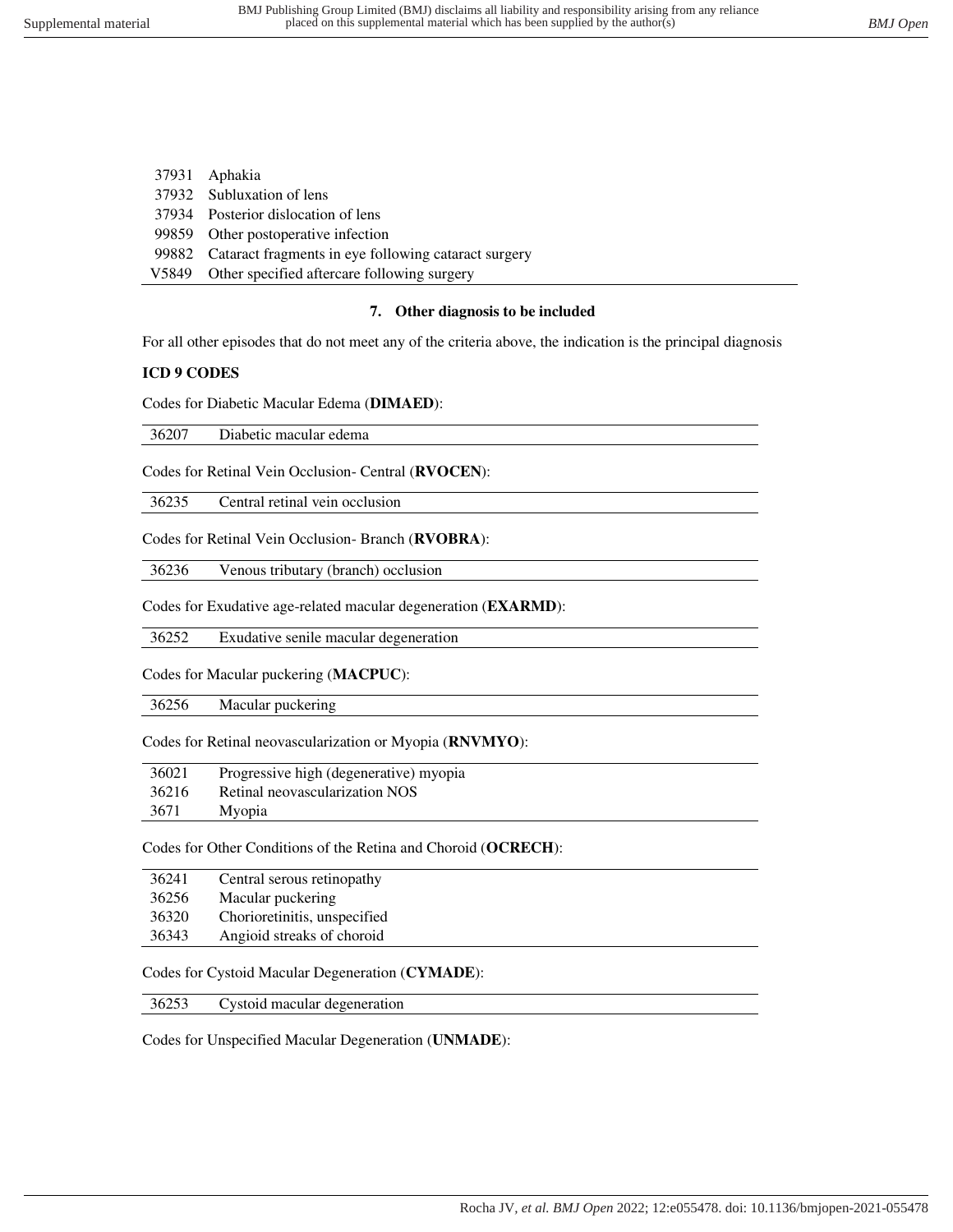| 37931 Aphakia                                              |
|------------------------------------------------------------|
| 37932 Subluxation of lens                                  |
| 37934 Posterior dislocation of lens                        |
| 99859 Other postoperative infection                        |
| 99882 Cataract fragments in eye following cataract surgery |
| V5849 Other specified aftercare following surgery          |

#### **7. Other diagnosis to be included**

For all other episodes that do not meet any of the criteria above, the indication is the principal diagnosis

#### **ICD 9 CODES**

Codes for Diabetic Macular Edema (**DIMAED**):

36207 Diabetic macular edema

Codes for Retinal Vein Occlusion- Central (**RVOCEN**):

36235 Central retinal vein occlusion

Codes for Retinal Vein Occlusion- Branch (**RVOBRA**):

36236 Venous tributary (branch) occlusion

Codes for Exudative age-related macular degeneration (**EXARMD**):

36252 Exudative senile macular degeneration

Codes for Macular puckering (**MACPUC**):

36256 Macular puckering

Codes for Retinal neovascularization or Myopia (**RNVMYO**):

| 36021 | Progressive high (degenerative) myopia |
|-------|----------------------------------------|
| 36216 | Retinal neovascularization NOS         |
| 3671  | Myopia                                 |

Codes for Other Conditions of the Retina and Choroid (**OCRECH**):

| 36241 | Central serous retinopathy   |
|-------|------------------------------|
| 36256 | Macular puckering            |
| 36320 | Chorioretinitis, unspecified |
| 36343 | Angioid streaks of choroid   |

Codes for Cystoid Macular Degeneration (**CYMADE**):

36253 Cystoid macular degeneration

Codes for Unspecified Macular Degeneration (**UNMADE**):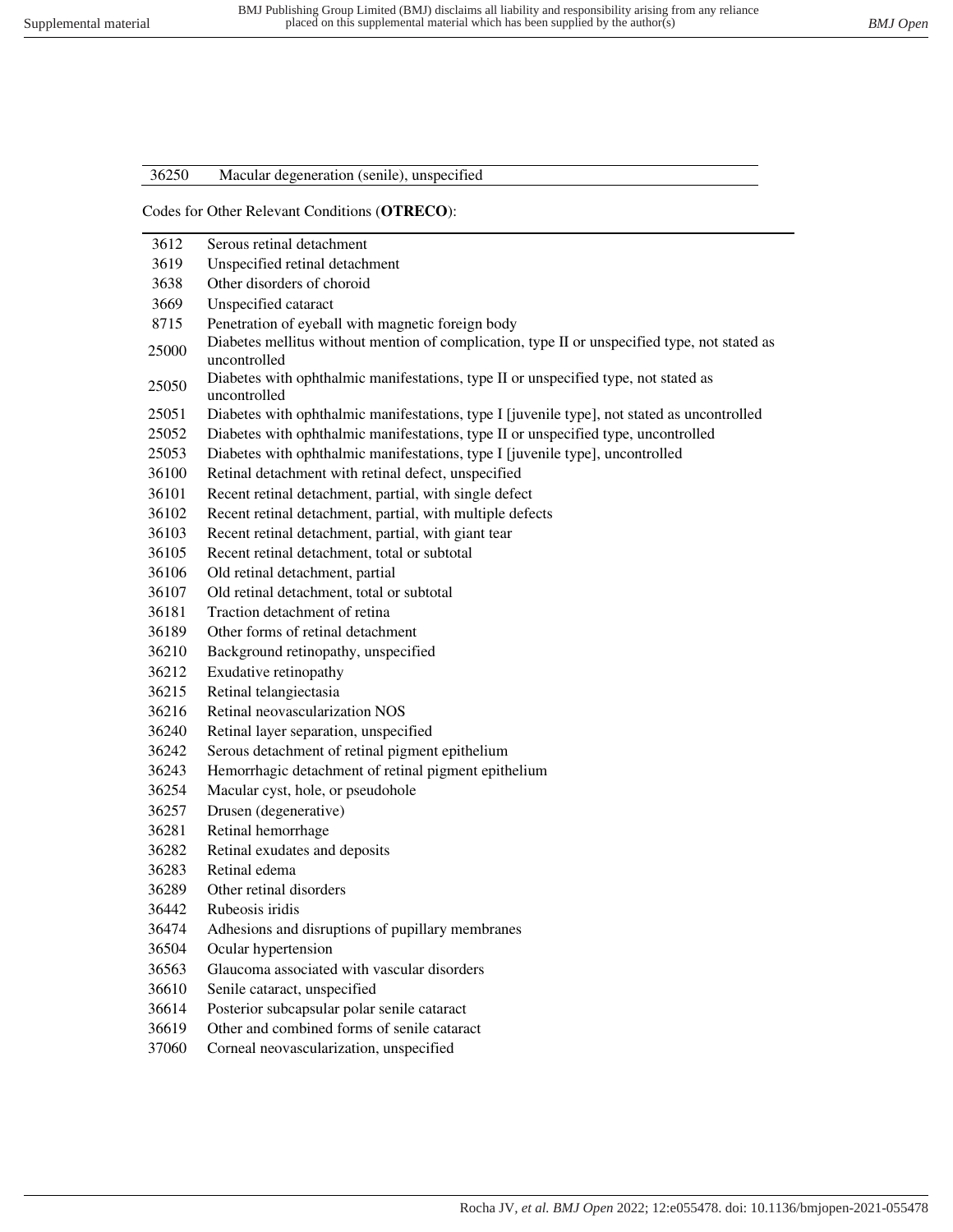### 36250 Macular degeneration (senile), unspecified

#### Codes for Other Relevant Conditions (**OTRECO**):

| 3612  | Serous retinal detachment                                                                                     |
|-------|---------------------------------------------------------------------------------------------------------------|
| 3619  | Unspecified retinal detachment                                                                                |
| 3638  | Other disorders of choroid                                                                                    |
| 3669  | Unspecified cataract                                                                                          |
| 8715  | Penetration of eyeball with magnetic foreign body                                                             |
| 25000 | Diabetes mellitus without mention of complication, type II or unspecified type, not stated as<br>uncontrolled |
| 25050 | Diabetes with ophthalmic manifestations, type II or unspecified type, not stated as<br>uncontrolled           |
| 25051 | Diabetes with ophthalmic manifestations, type I [juvenile type], not stated as uncontrolled                   |
| 25052 | Diabetes with ophthalmic manifestations, type II or unspecified type, uncontrolled                            |
| 25053 | Diabetes with ophthalmic manifestations, type I [juvenile type], uncontrolled                                 |
| 36100 | Retinal detachment with retinal defect, unspecified                                                           |
| 36101 | Recent retinal detachment, partial, with single defect                                                        |
| 36102 | Recent retinal detachment, partial, with multiple defects                                                     |
| 36103 | Recent retinal detachment, partial, with giant tear                                                           |
| 36105 | Recent retinal detachment, total or subtotal                                                                  |
| 36106 | Old retinal detachment, partial                                                                               |
| 36107 | Old retinal detachment, total or subtotal                                                                     |
| 36181 | Traction detachment of retina                                                                                 |
| 36189 | Other forms of retinal detachment                                                                             |
| 36210 | Background retinopathy, unspecified                                                                           |
| 36212 | Exudative retinopathy                                                                                         |
| 36215 | Retinal telangiectasia                                                                                        |
| 36216 | Retinal neovascularization NOS                                                                                |
| 36240 | Retinal layer separation, unspecified                                                                         |
| 36242 | Serous detachment of retinal pigment epithelium                                                               |
| 36243 | Hemorrhagic detachment of retinal pigment epithelium                                                          |
| 36254 | Macular cyst, hole, or pseudohole                                                                             |
| 36257 | Drusen (degenerative)                                                                                         |
| 36281 | Retinal hemorrhage                                                                                            |
| 36282 | Retinal exudates and deposits                                                                                 |
| 36283 | Retinal edema                                                                                                 |
| 36289 | Other retinal disorders                                                                                       |
| 36442 | Rubeosis iridis                                                                                               |
| 36474 | Adhesions and disruptions of pupillary membranes                                                              |
| 36504 | Ocular hypertension                                                                                           |
| 36563 | Glaucoma associated with vascular disorders                                                                   |
| 36610 | Senile cataract, unspecified                                                                                  |
| 36614 | Posterior subcapsular polar senile cataract                                                                   |
| 36619 | Other and combined forms of senile cataract                                                                   |
| 37060 | Corneal neovascularization, unspecified                                                                       |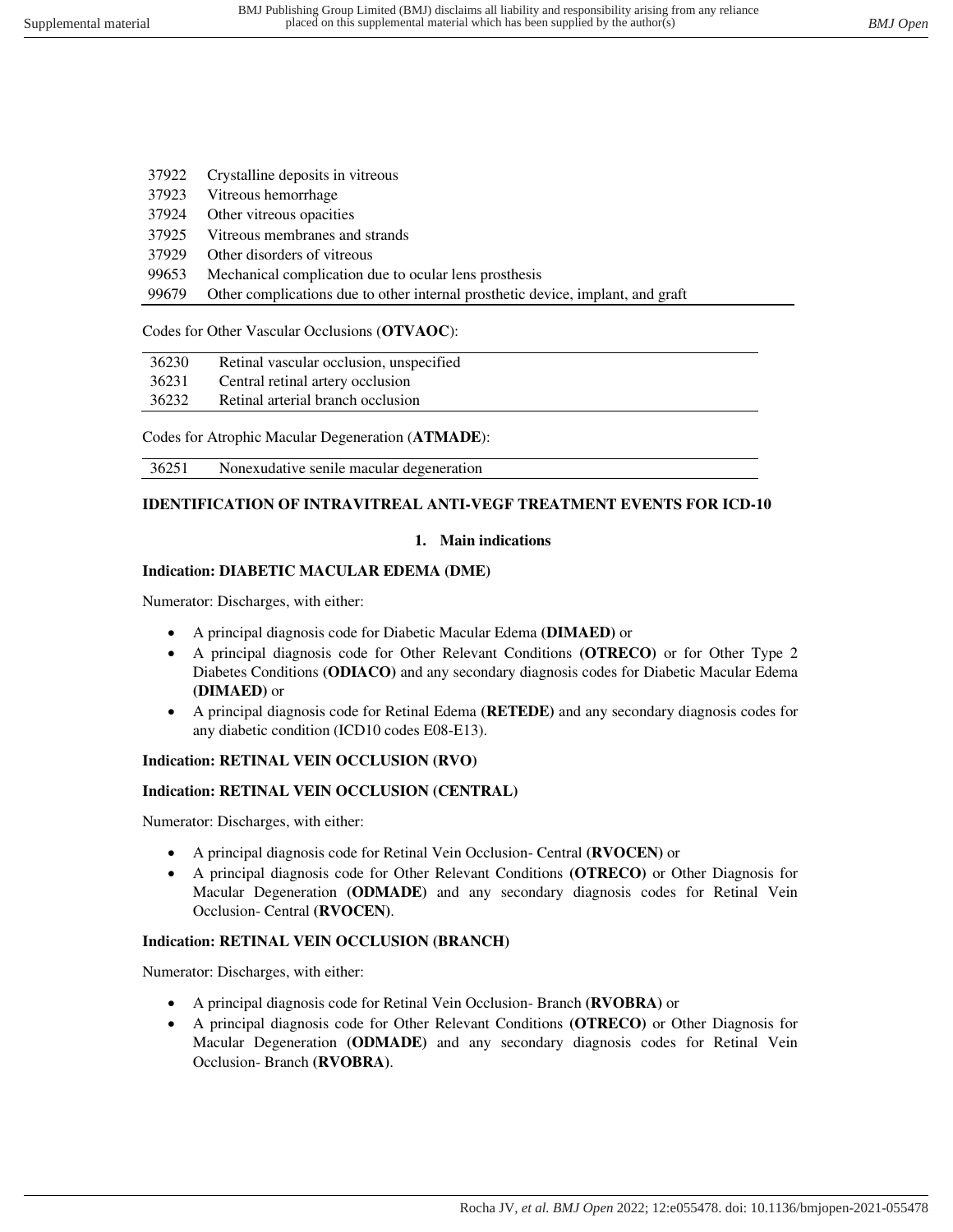| 37922 | Crystalline deposits in vitreous                                                |
|-------|---------------------------------------------------------------------------------|
| 37923 | Vitreous hemorrhage                                                             |
| 37924 | Other vitreous opacities                                                        |
| 37925 | Vitreous membranes and strands                                                  |
| 37929 | Other disorders of vitreous                                                     |
| 99653 | Mechanical complication due to ocular lens prosthesis                           |
| 99679 | Other complications due to other internal prosthetic device, implant, and graft |

#### Codes for Other Vascular Occlusions (**OTVAOC**):

| 36230 | Retinal vascular occlusion, unspecified |
|-------|-----------------------------------------|
| 36231 | Central retinal artery occlusion        |
|       |                                         |

36232 Retinal arterial branch occlusion

Codes for Atrophic Macular Degeneration (**ATMADE**):

36251 Nonexudative senile macular degeneration

### **IDENTIFICATION OF INTRAVITREAL ANTI-VEGF TREATMENT EVENTS FOR ICD-10**

### **1. Main indications**

### **Indication: DIABETIC MACULAR EDEMA (DME)**

Numerator: Discharges, with either:

- A principal diagnosis code for Diabetic Macular Edema **(DIMAED)** or
- A principal diagnosis code for Other Relevant Conditions **(OTRECO)** or for Other Type 2 Diabetes Conditions **(ODIACO)** and any secondary diagnosis codes for Diabetic Macular Edema **(DIMAED)** or
- A principal diagnosis code for Retinal Edema **(RETEDE)** and any secondary diagnosis codes for any diabetic condition (ICD10 codes E08-E13).

### **Indication: RETINAL VEIN OCCLUSION (RVO)**

### **Indication: RETINAL VEIN OCCLUSION (CENTRAL)**

Numerator: Discharges, with either:

- A principal diagnosis code for Retinal Vein Occlusion- Central **(RVOCEN)** or
- A principal diagnosis code for Other Relevant Conditions **(OTRECO)** or Other Diagnosis for Macular Degeneration **(ODMADE)** and any secondary diagnosis codes for Retinal Vein Occlusion- Central **(RVOCEN)**.

### **Indication: RETINAL VEIN OCCLUSION (BRANCH)**

Numerator: Discharges, with either:

- A principal diagnosis code for Retinal Vein Occlusion- Branch **(RVOBRA)** or
- A principal diagnosis code for Other Relevant Conditions **(OTRECO)** or Other Diagnosis for Macular Degeneration **(ODMADE)** and any secondary diagnosis codes for Retinal Vein Occlusion- Branch **(RVOBRA)**.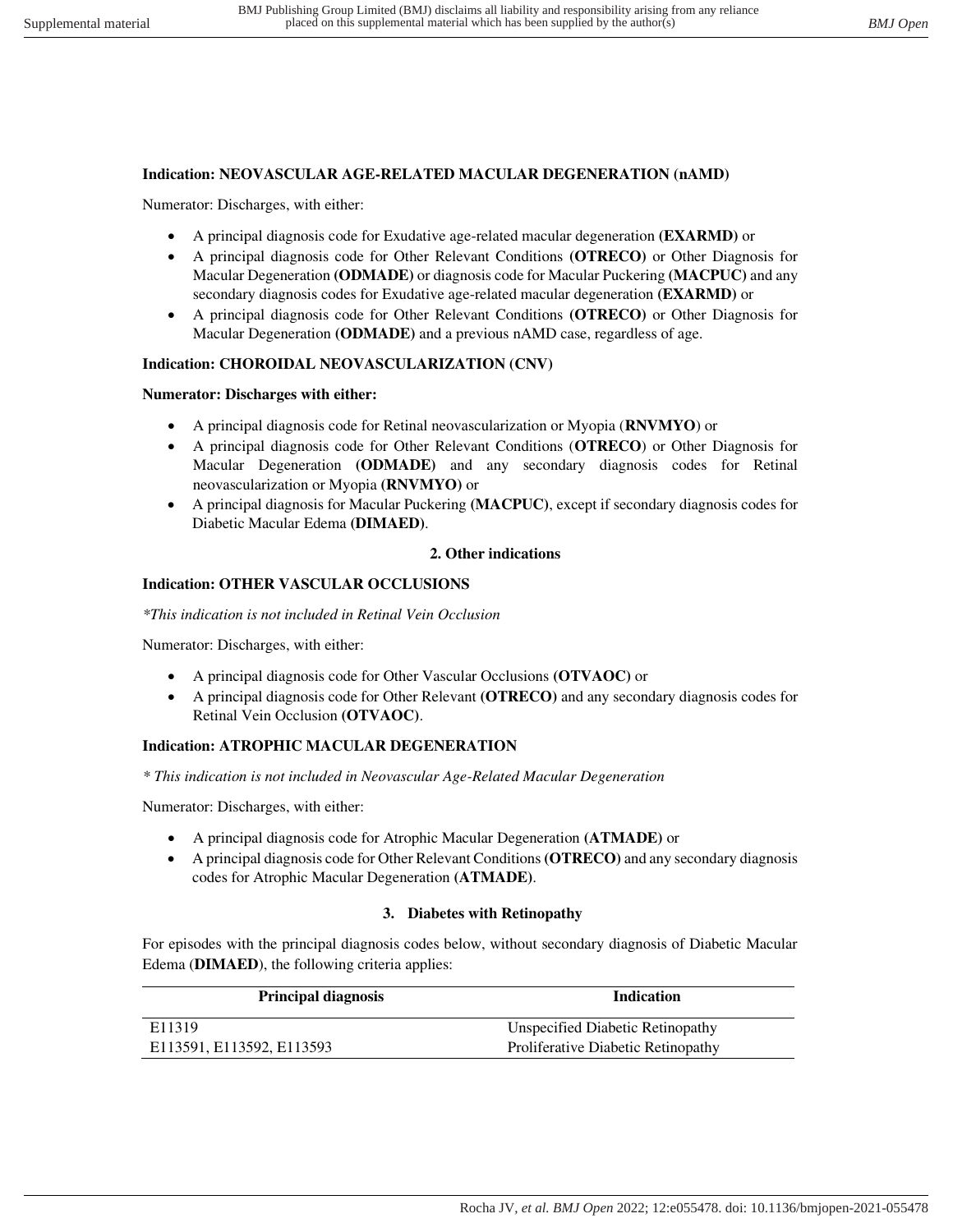#### **Indication: NEOVASCULAR AGE-RELATED MACULAR DEGENERATION (nAMD)**

Numerator: Discharges, with either:

- A principal diagnosis code for Exudative age-related macular degeneration **(EXARMD)** or
- A principal diagnosis code for Other Relevant Conditions **(OTRECO)** or Other Diagnosis for Macular Degeneration **(ODMADE)** or diagnosis code for Macular Puckering **(MACPUC)** and any secondary diagnosis codes for Exudative age-related macular degeneration **(EXARMD)** or
- A principal diagnosis code for Other Relevant Conditions **(OTRECO)** or Other Diagnosis for Macular Degeneration **(ODMADE)** and a previous nAMD case, regardless of age.

#### **Indication: CHOROIDAL NEOVASCULARIZATION (CNV)**

#### **Numerator: Discharges with either:**

- A principal diagnosis code for Retinal neovascularization or Myopia (**RNVMYO**) or
- A principal diagnosis code for Other Relevant Conditions (**OTRECO**) or Other Diagnosis for Macular Degeneration **(ODMADE)** and any secondary diagnosis codes for Retinal neovascularization or Myopia **(RNVMYO)** or
- A principal diagnosis for Macular Puckering **(MACPUC)**, except if secondary diagnosis codes for Diabetic Macular Edema **(DIMAED)**.

#### **2. Other indications**

#### **Indication: OTHER VASCULAR OCCLUSIONS**

*\*This indication is not included in Retinal Vein Occlusion* 

Numerator: Discharges, with either:

- A principal diagnosis code for Other Vascular Occlusions **(OTVAOC)** or
- A principal diagnosis code for Other Relevant **(OTRECO)** and any secondary diagnosis codes for Retinal Vein Occlusion **(OTVAOC)**.

#### **Indication: ATROPHIC MACULAR DEGENERATION**

*\* This indication is not included in Neovascular Age-Related Macular Degeneration* 

Numerator: Discharges, with either:

- A principal diagnosis code for Atrophic Macular Degeneration **(ATMADE)** or
- A principal diagnosis code for Other Relevant Conditions **(OTRECO)** and any secondary diagnosis codes for Atrophic Macular Degeneration **(ATMADE)**.

#### **3. Diabetes with Retinopathy**

For episodes with the principal diagnosis codes below, without secondary diagnosis of Diabetic Macular Edema (**DIMAED**), the following criteria applies:

| <b>Principal diagnosis</b> | <b>Indication</b>                  |
|----------------------------|------------------------------------|
| E <sub>11319</sub>         | Unspecified Diabetic Retinopathy   |
| E113591, E113592, E113593  | Proliferative Diabetic Retinopathy |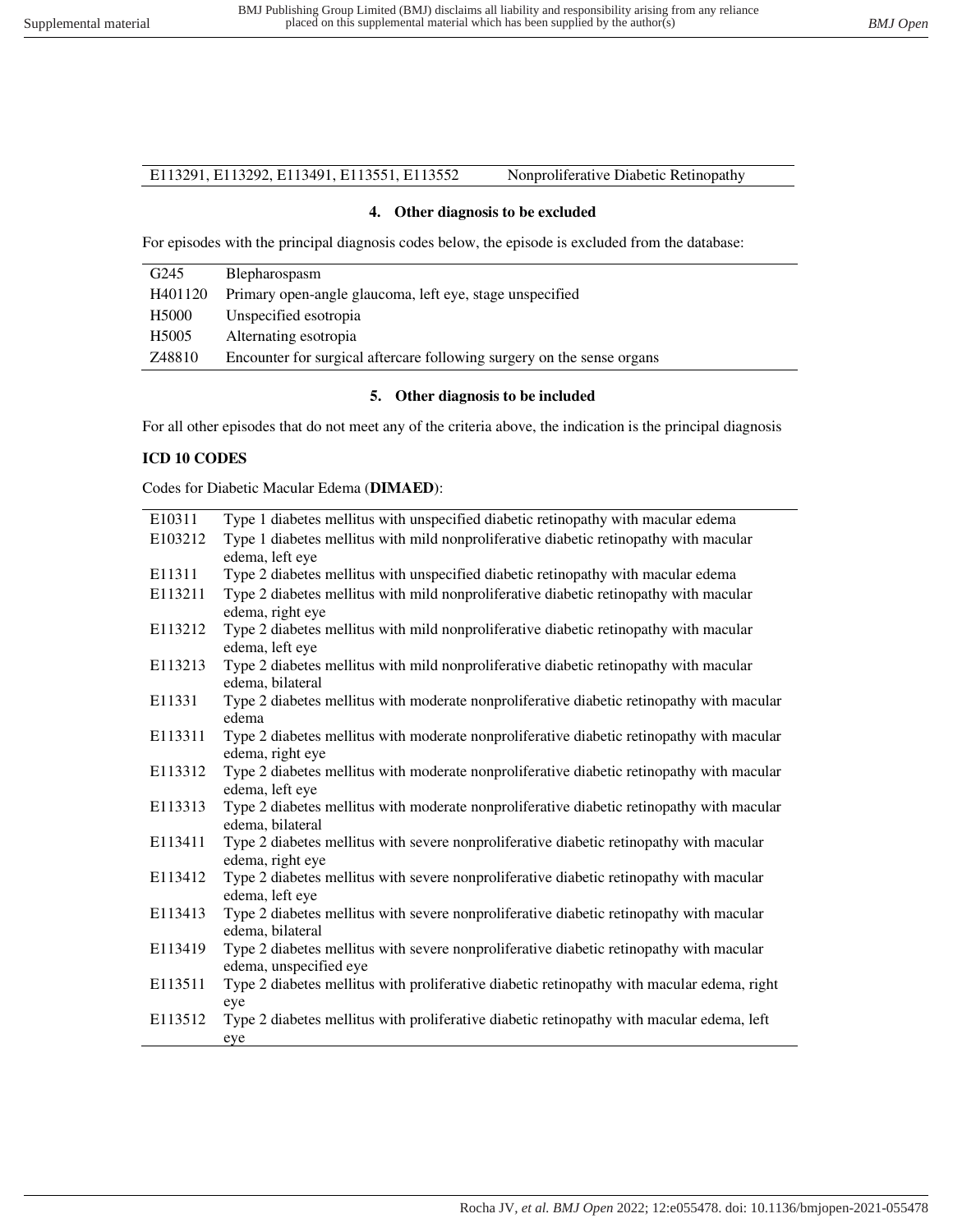### E113291, E113292, E113491, E113551, E113552 Nonproliferative Diabetic Retinopathy

#### **4. Other diagnosis to be excluded**

For episodes with the principal diagnosis codes below, the episode is excluded from the database:

| G <sub>245</sub>  | Blepharospasm                                                          |
|-------------------|------------------------------------------------------------------------|
| H401120           | Primary open-angle glaucoma, left eye, stage unspecified               |
| H <sub>5000</sub> | Unspecified esotropia                                                  |
| H <sub>5005</sub> | Alternating esotropia                                                  |
| Z48810            | Encounter for surgical aftercare following surgery on the sense organs |

#### **5. Other diagnosis to be included**

For all other episodes that do not meet any of the criteria above, the indication is the principal diagnosis

#### **ICD 10 CODES**

Codes for Diabetic Macular Edema (**DIMAED**):

| E <sub>10311</sub> | Type 1 diabetes mellitus with unspecified diabetic retinopathy with macular edema          |
|--------------------|--------------------------------------------------------------------------------------------|
| E103212            | Type 1 diabetes mellitus with mild nonproliferative diabetic retinopathy with macular      |
|                    | edema, left eye                                                                            |
| E11311             | Type 2 diabetes mellitus with unspecified diabetic retinopathy with macular edema          |
| E113211            | Type 2 diabetes mellitus with mild nonproliferative diabetic retinopathy with macular      |
|                    | edema, right eye                                                                           |
| E113212            | Type 2 diabetes mellitus with mild nonproliferative diabetic retinopathy with macular      |
|                    | edema, left eye                                                                            |
| E113213            | Type 2 diabetes mellitus with mild nonproliferative diabetic retinopathy with macular      |
|                    | edema, bilateral                                                                           |
| E11331             | Type 2 diabetes mellitus with moderate nonproliferative diabetic retinopathy with macular  |
|                    | edema                                                                                      |
| E113311            | Type 2 diabetes mellitus with moderate nonproliferative diabetic retinopathy with macular  |
|                    | edema, right eye                                                                           |
| E113312            | Type 2 diabetes mellitus with moderate nonproliferative diabetic retinopathy with macular  |
|                    | edema, left eye                                                                            |
| E113313            | Type 2 diabetes mellitus with moderate nonproliferative diabetic retinopathy with macular  |
|                    | edema, bilateral                                                                           |
| E113411            | Type 2 diabetes mellitus with severe nonproliferative diabetic retinopathy with macular    |
|                    | edema, right eye                                                                           |
| E113412            | Type 2 diabetes mellitus with severe nonproliferative diabetic retinopathy with macular    |
|                    | edema, left eye                                                                            |
| E113413            | Type 2 diabetes mellitus with severe nonproliferative diabetic retinopathy with macular    |
|                    | edema, bilateral                                                                           |
| E113419            | Type 2 diabetes mellitus with severe nonproliferative diabetic retinopathy with macular    |
|                    | edema, unspecified eye                                                                     |
| E113511            | Type 2 diabetes mellitus with proliferative diabetic retinopathy with macular edema, right |
|                    | eye                                                                                        |
| E113512            | Type 2 diabetes mellitus with proliferative diabetic retinopathy with macular edema, left  |
|                    | eye                                                                                        |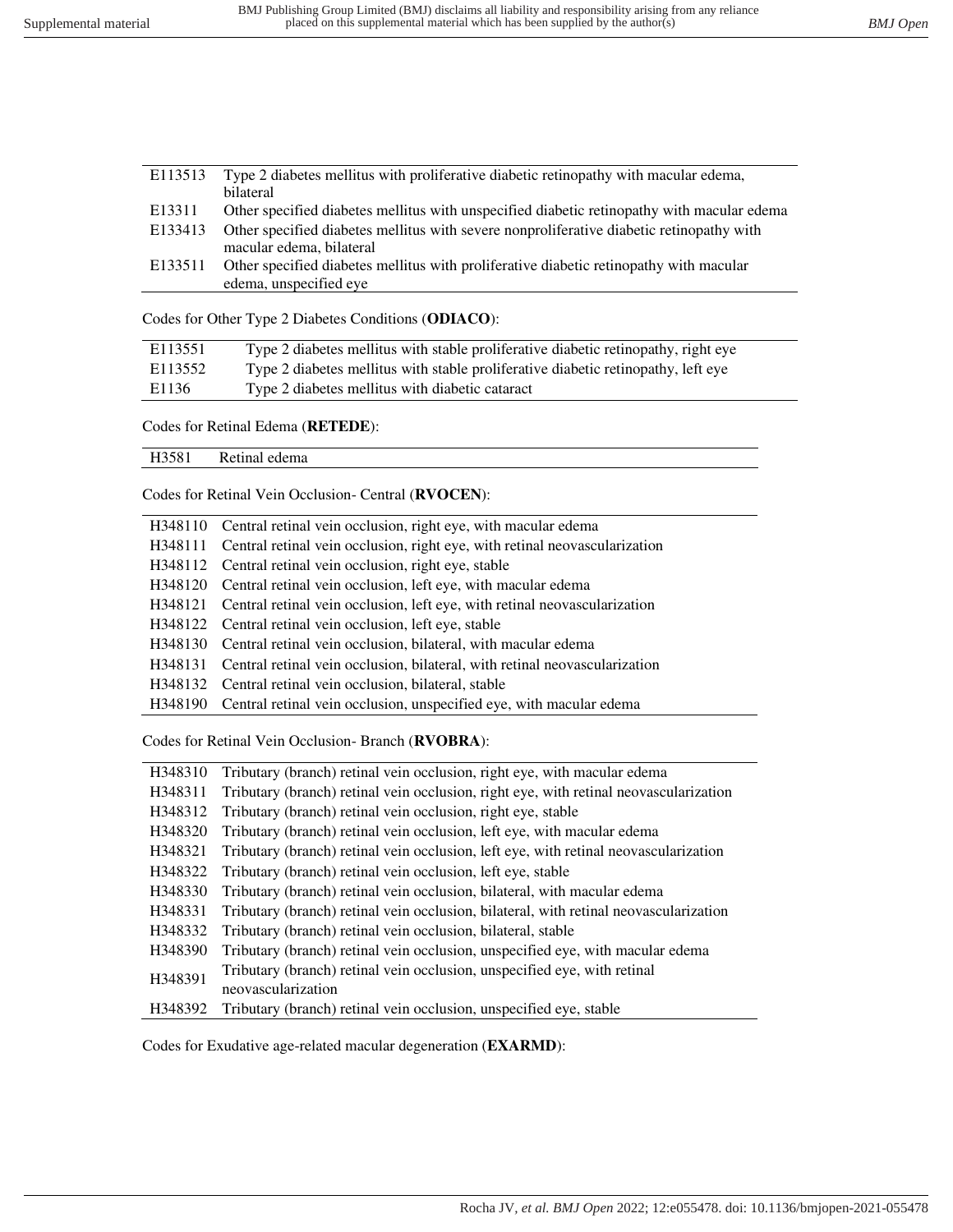| E113513 | Type 2 diabetes mellitus with proliferative diabetic retinopathy with macular edema,       |
|---------|--------------------------------------------------------------------------------------------|
|         | bilateral                                                                                  |
| E13311  | Other specified diabetes mellitus with unspecified diabetic retinopathy with macular edema |
| E133413 | Other specified diabetes mellitus with severe nonproliferative diabetic retinopathy with   |
|         | macular edema, bilateral                                                                   |
| E133511 | Other specified diabetes mellitus with proliferative diabetic retinopathy with macular     |
|         | edema, unspecified eye                                                                     |
|         |                                                                                            |

Codes for Other Type 2 Diabetes Conditions (**ODIACO**):

| E113551 | Type 2 diabetes mellitus with stable proliferative diabetic retinopathy, right eye |
|---------|------------------------------------------------------------------------------------|
| E113552 | Type 2 diabetes mellitus with stable proliferative diabetic retinopathy, left eye  |
| E1136   | Type 2 diabetes mellitus with diabetic cataract                                    |

Codes for Retinal Edema (**RETEDE**):

| Re<br>edema<br>H3381<br>≃eunai J<br>__ |
|----------------------------------------|
|----------------------------------------|

Codes for Retinal Vein Occlusion- Central (**RVOCEN**):

| H348110 Central retinal vein occlusion, right eye, with macular edema              |
|------------------------------------------------------------------------------------|
| H348111 Central retinal vein occlusion, right eye, with retinal neovascularization |
| H348112 Central retinal vein occlusion, right eye, stable                          |
| H348120 Central retinal vein occlusion, left eye, with macular edema               |
| H348121 Central retinal vein occlusion, left eye, with retinal neovascularization  |
| H348122 Central retinal vein occlusion, left eye, stable                           |
| H348130 Central retinal vein occlusion, bilateral, with macular edema              |
| H348131 Central retinal vein occlusion, bilateral, with retinal neovascularization |
| H348132 Central retinal vein occlusion, bilateral, stable                          |
| H348190 Central retinal vein occlusion, unspecified eye, with macular edema        |

Codes for Retinal Vein Occlusion- Branch (**RVOBRA**):

| H348310 | Tributary (branch) retinal vein occlusion, right eye, with macular edema              |
|---------|---------------------------------------------------------------------------------------|
| H348311 | Tributary (branch) retinal vein occlusion, right eye, with retinal neovascularization |
| H348312 | Tributary (branch) retinal vein occlusion, right eye, stable                          |
| H348320 | Tributary (branch) retinal vein occlusion, left eye, with macular edema               |
| H348321 | Tributary (branch) retinal vein occlusion, left eye, with retinal neovascularization  |
| H348322 | Tributary (branch) retinal vein occlusion, left eye, stable                           |
| H348330 | Tributary (branch) retinal vein occlusion, bilateral, with macular edema              |
| H348331 | Tributary (branch) retinal vein occlusion, bilateral, with retinal neovascularization |
| H348332 | Tributary (branch) retinal vein occlusion, bilateral, stable                          |
| H348390 | Tributary (branch) retinal vein occlusion, unspecified eye, with macular edema        |
| H348391 | Tributary (branch) retinal vein occlusion, unspecified eye, with retinal              |
|         | neovascularization                                                                    |
| H348392 | Tributary (branch) retinal vein occlusion, unspecified eye, stable                    |

Codes for Exudative age-related macular degeneration (**EXARMD**):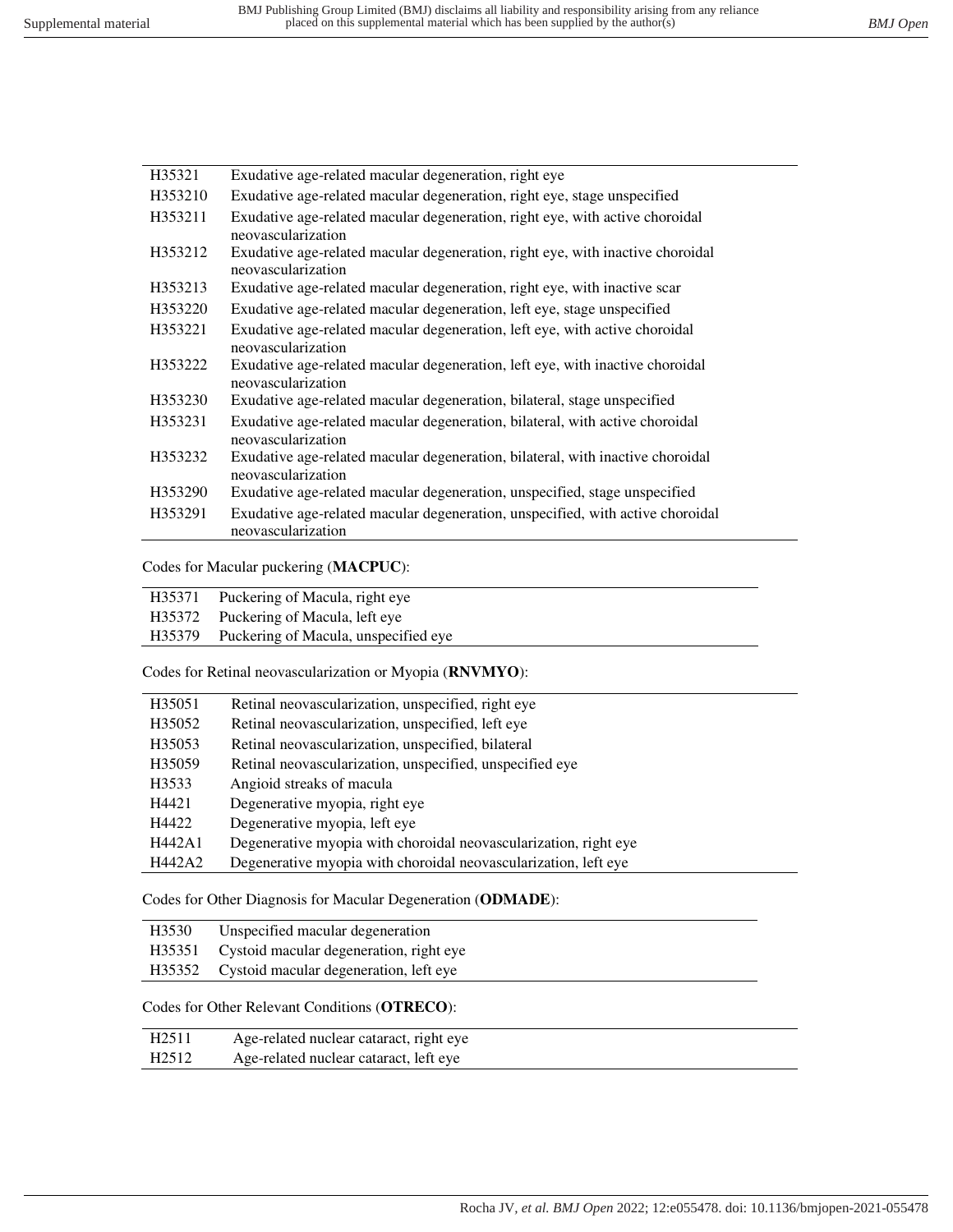| H35321  | Exudative age-related macular degeneration, right eye                                                |
|---------|------------------------------------------------------------------------------------------------------|
| H353210 | Exudative age-related macular degeneration, right eye, stage unspecified                             |
| H353211 | Exudative age-related macular degeneration, right eye, with active choroidal<br>neovascularization   |
| H353212 | Exudative age-related macular degeneration, right eye, with inactive choroidal<br>neovascularization |
| H353213 | Exudative age-related macular degeneration, right eye, with inactive scar                            |
| H353220 | Exudative age-related macular degeneration, left eye, stage unspecified                              |
| H353221 | Exudative age-related macular degeneration, left eye, with active choroidal<br>neovascularization    |
| H353222 | Exudative age-related macular degeneration, left eye, with inactive choroidal<br>neovascularization  |
| H353230 | Exudative age-related macular degeneration, bilateral, stage unspecified                             |
| H353231 | Exudative age-related macular degeneration, bilateral, with active choroidal<br>neovascularization   |
| H353232 | Exudative age-related macular degeneration, bilateral, with inactive choroidal<br>neovascularization |
| H353290 | Exudative age-related macular degeneration, unspecified, stage unspecified                           |
| H353291 | Exudative age-related macular degeneration, unspecified, with active choroidal<br>neovascularization |

Codes for Macular puckering (**MACPUC**):

| H35371 Puckering of Macula, right eye       |
|---------------------------------------------|
| H35372 Puckering of Macula, left eye        |
| H35379 Puckering of Macula, unspecified eye |
|                                             |

Codes for Retinal neovascularization or Myopia (**RNVMYO**):

| H35051 | Retinal neovascularization, unspecified, right eye               |
|--------|------------------------------------------------------------------|
| H35052 | Retinal neovascularization, unspecified, left eye                |
| H35053 | Retinal neovascularization, unspecified, bilateral               |
| H35059 | Retinal neovascularization, unspecified, unspecified eye         |
| H3533  | Angioid streaks of macula                                        |
| H4421  | Degenerative myopia, right eye                                   |
| H4422  | Degenerative myopia, left eye                                    |
| H442A1 | Degenerative myopia with choroidal neovascularization, right eye |
| H442A2 | Degenerative myopia with choroidal neovascularization, left eye  |

Codes for Other Diagnosis for Macular Degeneration (**ODMADE**):

| H3530  | Unspecified macular degeneration              |
|--------|-----------------------------------------------|
| H35351 | Cystoid macular degeneration, right eye       |
|        | H35352 Cystoid macular degeneration, left eye |

#### Codes for Other Relevant Conditions (**OTRECO**):

| H2511             | Age-related nuclear cataract, right eye |
|-------------------|-----------------------------------------|
| H <sub>2512</sub> | Age-related nuclear cataract, left eye  |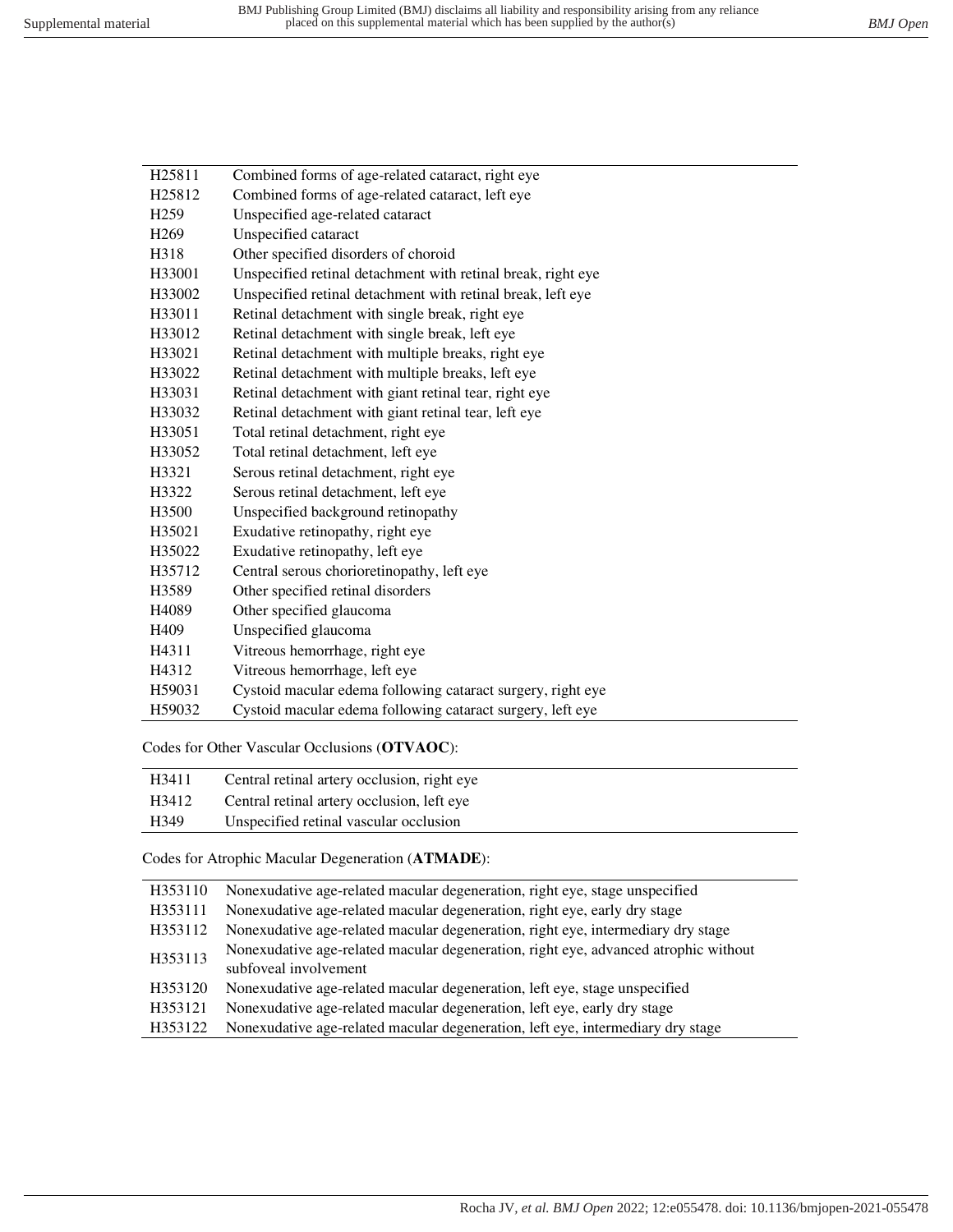| H <sub>25811</sub> | Combined forms of age-related cataract, right eye            |  |  |  |
|--------------------|--------------------------------------------------------------|--|--|--|
| H <sub>25812</sub> | Combined forms of age-related cataract, left eye             |  |  |  |
| H <sub>259</sub>   | Unspecified age-related cataract                             |  |  |  |
| H <sub>269</sub>   | Unspecified cataract                                         |  |  |  |
| H318               | Other specified disorders of choroid                         |  |  |  |
| H33001             | Unspecified retinal detachment with retinal break, right eye |  |  |  |
| H33002             | Unspecified retinal detachment with retinal break, left eye  |  |  |  |
| H33011             | Retinal detachment with single break, right eye              |  |  |  |
| H33012             | Retinal detachment with single break, left eye               |  |  |  |
| H33021             | Retinal detachment with multiple breaks, right eye           |  |  |  |
| H33022             | Retinal detachment with multiple breaks, left eye            |  |  |  |
| H33031             | Retinal detachment with giant retinal tear, right eye        |  |  |  |
| H33032             | Retinal detachment with giant retinal tear, left eye         |  |  |  |
| H33051             | Total retinal detachment, right eye                          |  |  |  |
| H33052             | Total retinal detachment, left eye                           |  |  |  |
| H3321              | Serous retinal detachment, right eye                         |  |  |  |
| H3322              | Serous retinal detachment, left eye                          |  |  |  |
| H3500              | Unspecified background retinopathy                           |  |  |  |
| H35021             | Exudative retinopathy, right eye                             |  |  |  |
| H35022             | Exudative retinopathy, left eye                              |  |  |  |
| H35712             | Central serous chorioretinopathy, left eye                   |  |  |  |
| H3589              | Other specified retinal disorders                            |  |  |  |
| H4089              | Other specified glaucoma                                     |  |  |  |
| H409               | Unspecified glaucoma                                         |  |  |  |
| H4311              | Vitreous hemorrhage, right eye                               |  |  |  |
| H4312              | Vitreous hemorrhage, left eye                                |  |  |  |
| H59031             | Cystoid macular edema following cataract surgery, right eye  |  |  |  |
| H59032             | Cystoid macular edema following cataract surgery, left eye   |  |  |  |
|                    |                                                              |  |  |  |

Codes for Other Vascular Occlusions (**OTVAOC**):

| H3411            | Central retinal artery occlusion, right eye |
|------------------|---------------------------------------------|
| H3412            | Central retinal artery occlusion, left eye  |
| H <sub>349</sub> | Unspecified retinal vascular occlusion      |

Codes for Atrophic Macular Degeneration (**ATMADE**):

| H353110 | Nonexudative age-related macular degeneration, right eye, stage unspecified         |
|---------|-------------------------------------------------------------------------------------|
| H353111 | Nonexudative age-related macular degeneration, right eye, early dry stage           |
| H353112 | Nonexudative age-related macular degeneration, right eye, intermediary dry stage    |
| H353113 | Nonexudative age-related macular degeneration, right eye, advanced atrophic without |
|         | subfoveal involvement                                                               |
| H353120 | Nonexudative age-related macular degeneration, left eye, stage unspecified          |
| H353121 | Nonexudative age-related macular degeneration, left eye, early dry stage            |
| H353122 | Nonexudative age-related macular degeneration, left eye, intermediary dry stage     |
|         |                                                                                     |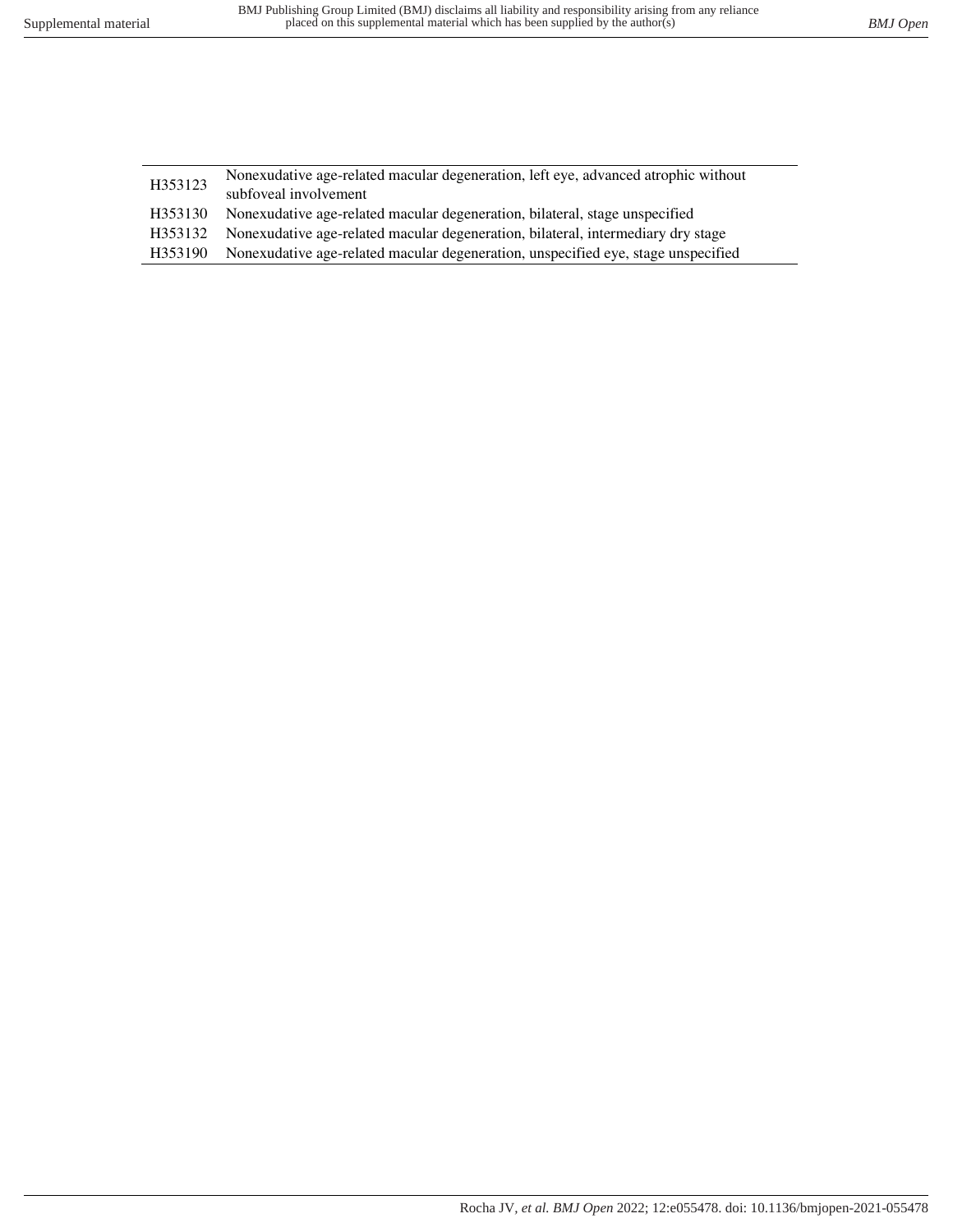| H353123 | Nonexudative age-related macular degeneration, left eye, advanced atrophic without |
|---------|------------------------------------------------------------------------------------|
|         | subfoveal involvement                                                              |
| H353130 | Nonexudative age-related macular degeneration, bilateral, stage unspecified        |
| H353132 | Nonexudative age-related macular degeneration, bilateral, intermediary dry stage   |
| H353190 | Nonexudative age-related macular degeneration, unspecified eye, stage unspecified  |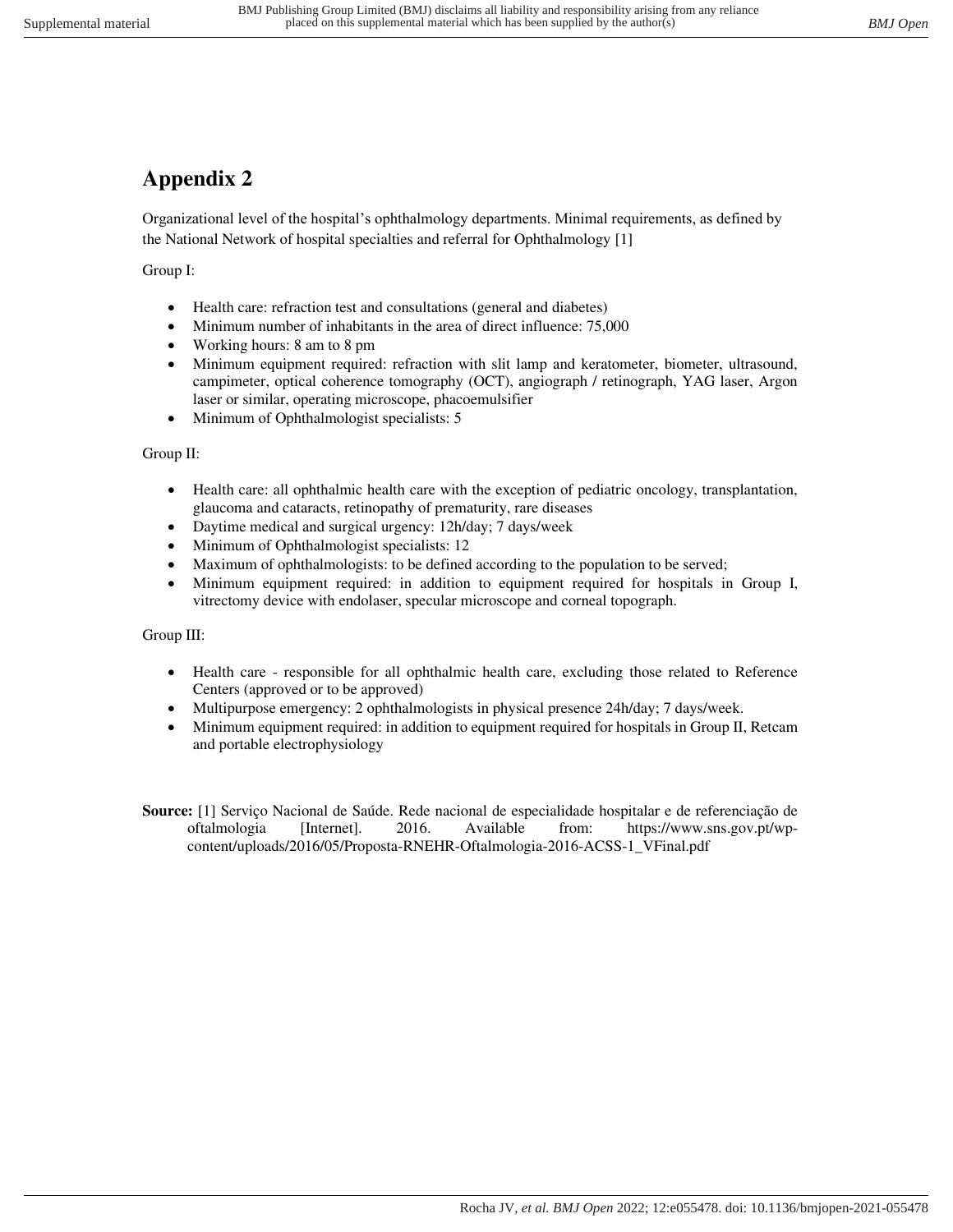## **Appendix 2**

Organizational level of the hospital's ophthalmology departments. Minimal requirements, as defined by the National Network of hospital specialties and referral for Ophthalmology [1]

Group I:

- Health care: refraction test and consultations (general and diabetes)
- Minimum number of inhabitants in the area of direct influence: 75,000
- Working hours: 8 am to 8 pm
- Minimum equipment required: refraction with slit lamp and keratometer, biometer, ultrasound, campimeter, optical coherence tomography (OCT), angiograph / retinograph, YAG laser, Argon laser or similar, operating microscope, phacoemulsifier
- Minimum of Ophthalmologist specialists: 5

Group II:

- Health care: all ophthalmic health care with the exception of pediatric oncology, transplantation, glaucoma and cataracts, retinopathy of prematurity, rare diseases
- Daytime medical and surgical urgency: 12h/day; 7 days/week
- Minimum of Ophthalmologist specialists: 12
- Maximum of ophthalmologists: to be defined according to the population to be served;
- Minimum equipment required: in addition to equipment required for hospitals in Group I, vitrectomy device with endolaser, specular microscope and corneal topograph.

Group III:

- Health care responsible for all ophthalmic health care, excluding those related to Reference Centers (approved or to be approved)
- Multipurpose emergency: 2 ophthalmologists in physical presence 24h/day; 7 days/week.
- Minimum equipment required: in addition to equipment required for hospitals in Group II, Retcam and portable electrophysiology
- **Source:** [1] Serviço Nacional de Saúde. Rede nacional de especialidade hospitalar e de referenciação de oftalmologia [Internet]. 2016. Available from: https://www.sns.gov.pt/wpcontent/uploads/2016/05/Proposta-RNEHR-Oftalmologia-2016-ACSS-1\_VFinal.pdf